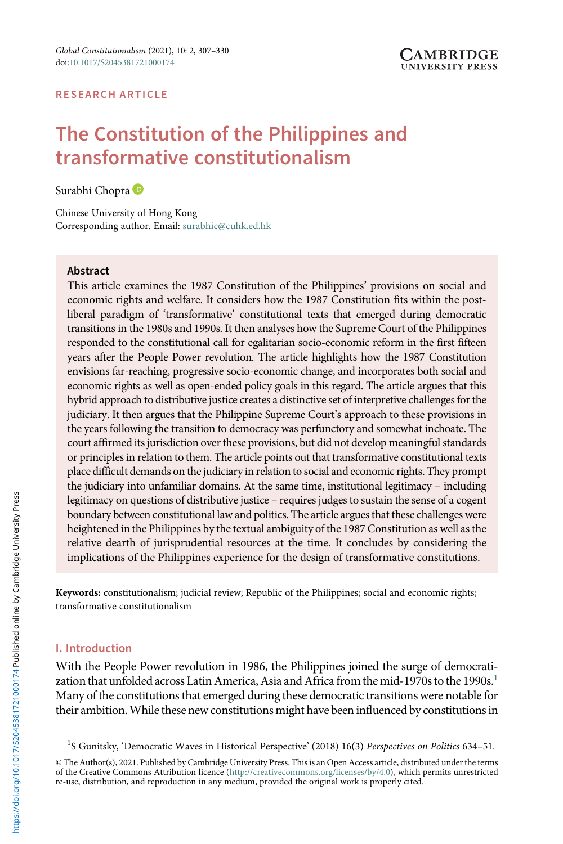#### RESEARCH ARTICLE

# The Constitution of the Philippines and transformative constitutionalism

Surabhi Chopra

Chinese University of Hong Kong Corresponding author. Email: [surabhic@cuhk.ed.hk](mailto:surabhic@cuhk.ed.hk)

#### Abstract

This article examines the 1987 Constitution of the Philippines' provisions on social and economic rights and welfare. It considers how the 1987 Constitution fits within the postliberal paradigm of 'transformative' constitutional texts that emerged during democratic transitions in the 1980s and 1990s. It then analyses how the Supreme Court of the Philippines responded to the constitutional call for egalitarian socio-economic reform in the first fifteen years after the People Power revolution. The article highlights how the 1987 Constitution envisions far-reaching, progressive socio-economic change, and incorporates both social and economic rights as well as open-ended policy goals in this regard. The article argues that this hybrid approach to distributive justice creates a distinctive set of interpretive challenges for the judiciary. It then argues that the Philippine Supreme Court's approach to these provisions in the years following the transition to democracy was perfunctory and somewhat inchoate. The court affirmed its jurisdiction over these provisions, but did not develop meaningful standards or principles in relation to them. The article points out that transformative constitutional texts place difficult demands on the judiciary in relation to social and economic rights. They prompt the judiciary into unfamiliar domains. At the same time, institutional legitimacy – including legitimacy on questions of distributive justice – requires judges to sustain the sense of a cogent boundary between constitutional law and politics. The article argues that these challenges were heightened in the Philippines by the textual ambiguity of the 1987 Constitution as well as the relative dearth of jurisprudential resources at the time. It concludes by considering the implications of the Philippines experience for the design of transformative constitutions.

Keywords: constitutionalism; judicial review; Republic of the Philippines; social and economic rights; transformative constitutionalism

# I. Introduction

With the People Power revolution in 1986, the Philippines joined the surge of democratization that unfolded across Latin America, Asia and Africa from the mid-1970s to the 1990s.<sup>1</sup> Many of the constitutions that emerged during these democratic transitions were notable for their ambition. While these new constitutions might have been influenced by constitutions in

<sup>&</sup>lt;sup>1</sup>S Gunitsky, 'Democratic Waves in Historical Perspective' (2018) 16(3) Perspectives on Politics 634-51.

<sup>©</sup> The Author(s), 2021. Published by Cambridge University Press. This is an Open Access article, distributed under the terms of the Creative Commons Attribution licence ([http://creativecommons.org/licenses/by/4.0\)](http://creativecommons.org/licenses/by/4.0), which permits unrestricted re-use, distribution, and reproduction in any medium, provided the original work is properly cited.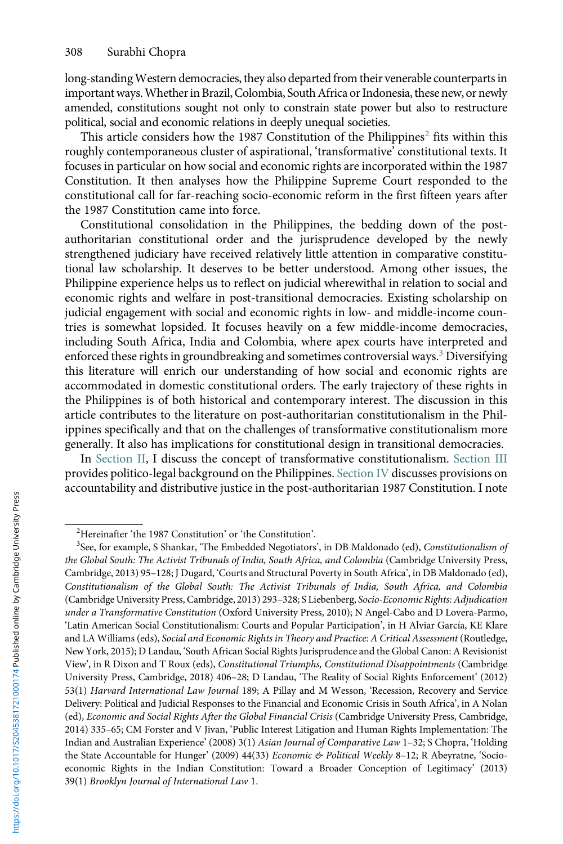<span id="page-1-0"></span>long-standingWestern democracies, they also departed from their venerable counterparts in important ways.Whether in Brazil, Colombia, SouthAfrica or Indonesia, these new, or newly amended, constitutions sought not only to constrain state power but also to restructure political, social and economic relations in deeply unequal societies.

This article considers how the 1987 Constitution of the Philippines<sup>2</sup> fits within this roughly contemporaneous cluster of aspirational, 'transformative' constitutional texts. It focuses in particular on how social and economic rights are incorporated within the 1987 Constitution. It then analyses how the Philippine Supreme Court responded to the constitutional call for far-reaching socio-economic reform in the first fifteen years after the 1987 Constitution came into force.

Constitutional consolidation in the Philippines, the bedding down of the postauthoritarian constitutional order and the jurisprudence developed by the newly strengthened judiciary have received relatively little attention in comparative constitutional law scholarship. It deserves to be better understood. Among other issues, the Philippine experience helps us to reflect on judicial wherewithal in relation to social and economic rights and welfare in post-transitional democracies. Existing scholarship on judicial engagement with social and economic rights in low- and middle-income countries is somewhat lopsided. It focuses heavily on a few middle-income democracies, including South Africa, India and Colombia, where apex courts have interpreted and enforced these rights in groundbreaking and sometimes controversial ways.<sup>3</sup> Diversifying this literature will enrich our understanding of how social and economic rights are accommodated in domestic constitutional orders. The early trajectory of these rights in the Philippines is of both historical and contemporary interest. The discussion in this article contributes to the literature on post-authoritarian constitutionalism in the Philippines specifically and that on the challenges of transformative constitutionalism more generally. It also has implications for constitutional design in transitional democracies.

In Section II, I discuss the concept of transformative constitutionalism. Section III provides politico-legal background on the Philippines. Section IV discusses provisions on accountability and distributive justice in the post-authoritarian 1987 Constitution. I note

<sup>&</sup>lt;sup>2</sup>Hereinafter 'the 1987 Constitution' or 'the Constitution'.<br><sup>3</sup>See for example S Shapkar, 'The Embedded Negotiators

 $3$ See, for example, S Shankar, 'The Embedded Negotiators', in DB Maldonado (ed), Constitutionalism of the Global South: The Activist Tribunals of India, South Africa, and Colombia (Cambridge University Press, Cambridge, 2013) 95–128; J Dugard, 'Courts and Structural Poverty in South Africa', in DB Maldonado (ed), Constitutionalism of the Global South: The Activist Tribunals of India, South Africa, and Colombia (Cambridge University Press, Cambridge, 2013) 293–328; S Liebenberg, Socio-Economic Rights: Adjudication under a Transformative Constitution (Oxford University Press, 2010); N Angel-Cabo and D Lovera-Parmo, 'Latin American Social Constitutionalism: Courts and Popular Participation', in H Alviar García, KE Klare and LA Williams (eds), Social and Economic Rights in Theory and Practice: A Critical Assessment (Routledge, New York, 2015); D Landau, 'South African Social Rights Jurisprudence and the Global Canon: A Revisionist View', in R Dixon and T Roux (eds), Constitutional Triumphs, Constitutional Disappointments (Cambridge University Press, Cambridge, 2018) 406–28; D Landau, 'The Reality of Social Rights Enforcement' (2012) 53(1) Harvard International Law Journal 189; A Pillay and M Wesson, 'Recession, Recovery and Service Delivery: Political and Judicial Responses to the Financial and Economic Crisis in South Africa', in A Nolan (ed), Economic and Social Rights After the Global Financial Crisis (Cambridge University Press, Cambridge, 2014) 335–65; CM Forster and V Jivan, 'Public Interest Litigation and Human Rights Implementation: The Indian and Australian Experience' (2008) 3(1) Asian Journal of Comparative Law 1–32; S Chopra, 'Holding the State Accountable for Hunger' (2009) 44(33) Economic & Political Weekly 8-12; R Abeyratne, 'Socioeconomic Rights in the Indian Constitution: Toward a Broader Conception of Legitimacy' (2013) 39(1) Brooklyn Journal of International Law 1.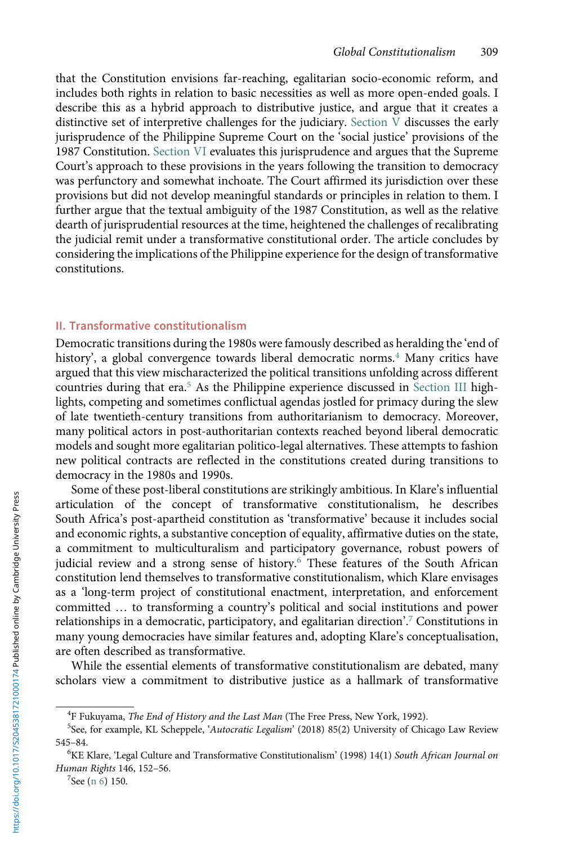<span id="page-2-0"></span>that the Constitution envisions far-reaching, egalitarian socio-economic reform, and includes both rights in relation to basic necessities as well as more open-ended goals. I describe this as a hybrid approach to distributive justice, and argue that it creates a distinctive set of interpretive challenges for the judiciary. Section V discusses the early jurisprudence of the Philippine Supreme Court on the 'social justice' provisions of the 1987 Constitution. Section VI evaluates this jurisprudence and argues that the Supreme Court's approach to these provisions in the years following the transition to democracy was perfunctory and somewhat inchoate. The Court affirmed its jurisdiction over these provisions but did not develop meaningful standards or principles in relation to them. I further argue that the textual ambiguity of the 1987 Constitution, as well as the relative dearth of jurisprudential resources at the time, heightened the challenges of recalibrating the judicial remit under a transformative constitutional order. The article concludes by considering the implications of the Philippine experience for the design of transformative constitutions.

## II. Transformative constitutionalism

Democratic transitions during the 1980s were famously described as heralding the 'end of history', a global convergence towards liberal democratic norms.<sup>4</sup> Many critics have argued that this view mischaracterized the political transitions unfolding across different countries during that era.<sup>5</sup> As the Philippine experience discussed in Section III highlights, competing and sometimes conflictual agendas jostled for primacy during the slew of late twentieth-century transitions from authoritarianism to democracy. Moreover, many political actors in post-authoritarian contexts reached beyond liberal democratic models and sought more egalitarian politico-legal alternatives. These attempts to fashion new political contracts are reflected in the constitutions created during transitions to democracy in the 1980s and 1990s.

Some of these post-liberal constitutions are strikingly ambitious. In Klare's influential articulation of the concept of transformative constitutionalism, he describes South Africa's post-apartheid constitution as 'transformative' because it includes social and economic rights, a substantive conception of equality, affirmative duties on the state, a commitment to multiculturalism and participatory governance, robust powers of judicial review and a strong sense of history.<sup>6</sup> These features of the South African constitution lend themselves to transformative constitutionalism, which Klare envisages as a 'long-term project of constitutional enactment, interpretation, and enforcement committed … to transforming a country's political and social institutions and power relationships in a democratic, participatory, and egalitarian direction'. <sup>7</sup> Constitutions in many young democracies have similar features and, adopting Klare's conceptualisation, are often described as transformative.

While the essential elements of transformative constitutionalism are debated, many scholars view a commitment to distributive justice as a hallmark of transformative

<sup>&</sup>lt;sup>4</sup>F Fukuyama, *The End of History and the Last Man* (The Free Press, New York, 1992).<br><sup>5</sup>See for example, KL Schennele, *Mutocratic Legglism'* (2018) 85(2) University of Chi

<sup>&</sup>lt;sup>5</sup>See, for example, KL Scheppele, 'Autocratic Legalism' (2018) 85(2) University of Chicago Law Review <sup>545</sup>–84. <sup>6</sup>

<sup>&</sup>lt;sup>6</sup>KE Klare, 'Legal Culture and Transformative Constitutionalism' (1998) 14(1) South African Journal on Human Rights 146, 152–56. <sup>7</sup>

 $7$ See (n 6) 150.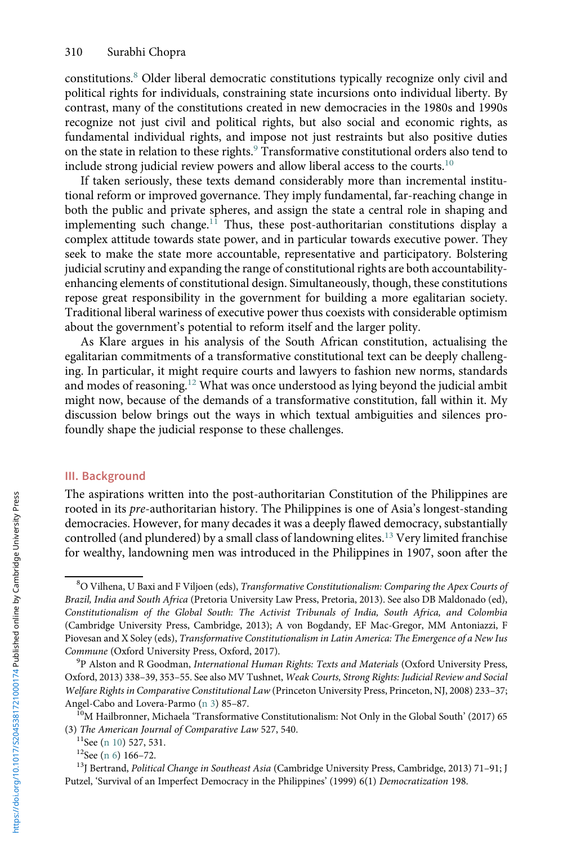<span id="page-3-0"></span>constitutions.<sup>8</sup> Older liberal democratic constitutions typically recognize only civil and political rights for individuals, constraining state incursions onto individual liberty. By contrast, many of the constitutions created in new democracies in the 1980s and 1990s recognize not just civil and political rights, but also social and economic rights, as fundamental individual rights, and impose not just restraints but also positive duties on the state in relation to these rights.<sup>9</sup> Transformative constitutional orders also tend to include strong judicial review powers and allow liberal access to the courts.<sup>10</sup>

If taken seriously, these texts demand considerably more than incremental institutional reform or improved governance. They imply fundamental, far-reaching change in both the public and private spheres, and assign the state a central role in shaping and implementing such change.<sup>11</sup> Thus, these post-authoritarian constitutions display a complex attitude towards state power, and in particular towards executive power. They seek to make the state more accountable, representative and participatory. Bolstering judicial scrutiny and expanding the range of constitutional rights are both accountabilityenhancing elements of constitutional design. Simultaneously, though, these constitutions repose great responsibility in the government for building a more egalitarian society. Traditional liberal wariness of executive power thus coexists with considerable optimism about the government's potential to reform itself and the larger polity.

As Klare argues in his analysis of the South African constitution, actualising the egalitarian commitments of a transformative constitutional text can be deeply challenging. In particular, it might require courts and lawyers to fashion new norms, standards and modes of reasoning.<sup>12</sup> What was once understood as lying beyond the judicial ambit might now, because of the demands of a transformative constitution, fall within it. My discussion below brings out the ways in which textual ambiguities and silences profoundly shape the judicial response to these challenges.

## III. Background

The aspirations written into the post-authoritarian Constitution of the Philippines are rooted in its pre-authoritarian history. The Philippines is one of Asia's longest-standing democracies. However, for many decades it was a deeply flawed democracy, substantially controlled (and plundered) by a small class of landowning elites.13 Very limited franchise for wealthy, landowning men was introduced in the Philippines in 1907, soon after the

 $^8\rm{O}$  Vilhena, U Baxi and F Viljoen (eds), *Transformative Constitutionalism: Comparing the Apex Courts of* Brazil, India and South Africa (Pretoria University Law Press, Pretoria, 2013). See also DB Maldonado (ed), Constitutionalism of the Global South: The Activist Tribunals of India, South Africa, and Colombia (Cambridge University Press, Cambridge, 2013); A von Bogdandy, EF Mac-Gregor, MM Antoniazzi, F Piovesan and X Soley (eds), Transformative Constitutionalism in Latin America: The Emergence of a New Ius Commune (Oxford University Press, Oxford, 2017).

<sup>&</sup>lt;sup>9</sup>P Alston and R Goodman, International Human Rights: Texts and Materials (Oxford University Press, Oxford, 2013) 338–39, 353–55. See also MV Tushnet, Weak Courts, Strong Rights: Judicial Review and Social Welfare Rights in Comparative Constitutional Law (Princeton University Press, Princeton, NJ, 2008) 233–37;

Angel-Cabo and Lovera-Parmo ([n 3\)](#page-1-0) 85–87.<br><sup>10</sup>M Hailbronner, Michaela 'Transformative Constitutionalism: Not Only in the Global South' (2017) 65<br>(3) *The American Journal of Comparative Law* 527, 540.

<sup>&</sup>lt;sup>11</sup>See (n 10) 527, 531.<br><sup>12</sup>See [\(n 6\)](#page-2-0) 166–72.<br><sup>13</sup>J Bertrand, *Political Change in Southeast Asia* (Cambridge University Press, Cambridge, 2013) 71–91; J Putzel, 'Survival of an Imperfect Democracy in the Philippines' (1999) 6(1) Democratization 198.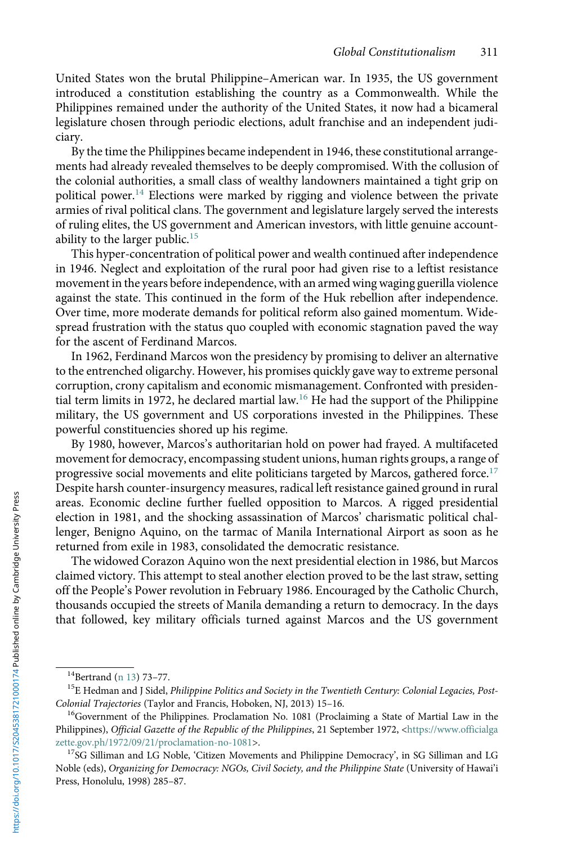United States won the brutal Philippine–American war. In 1935, the US government introduced a constitution establishing the country as a Commonwealth. While the Philippines remained under the authority of the United States, it now had a bicameral legislature chosen through periodic elections, adult franchise and an independent judiciary.

By the time the Philippines became independent in 1946, these constitutional arrangements had already revealed themselves to be deeply compromised. With the collusion of the colonial authorities, a small class of wealthy landowners maintained a tight grip on political power.<sup>14</sup> Elections were marked by rigging and violence between the private armies of rival political clans. The government and legislature largely served the interests of ruling elites, the US government and American investors, with little genuine accountability to the larger public. $15$ 

This hyper-concentration of political power and wealth continued after independence in 1946. Neglect and exploitation of the rural poor had given rise to a leftist resistance movement in the years before independence, with an armed wing waging guerilla violence against the state. This continued in the form of the Huk rebellion after independence. Over time, more moderate demands for political reform also gained momentum. Widespread frustration with the status quo coupled with economic stagnation paved the way for the ascent of Ferdinand Marcos.

In 1962, Ferdinand Marcos won the presidency by promising to deliver an alternative to the entrenched oligarchy. However, his promises quickly gave way to extreme personal corruption, crony capitalism and economic mismanagement. Confronted with presidential term limits in 1972, he declared martial law.<sup>16</sup> He had the support of the Philippine military, the US government and US corporations invested in the Philippines. These powerful constituencies shored up his regime.

By 1980, however, Marcos's authoritarian hold on power had frayed. A multifaceted movement for democracy, encompassing student unions, human rights groups, a range of progressive social movements and elite politicians targeted by Marcos, gathered force.<sup>17</sup> Despite harsh counter-insurgency measures, radical left resistance gained ground in rural areas. Economic decline further fuelled opposition to Marcos. A rigged presidential election in 1981, and the shocking assassination of Marcos' charismatic political challenger, Benigno Aquino, on the tarmac of Manila International Airport as soon as he returned from exile in 1983, consolidated the democratic resistance.

The widowed Corazon Aquino won the next presidential election in 1986, but Marcos claimed victory. This attempt to steal another election proved to be the last straw, setting off the People's Power revolution in February 1986. Encouraged by the Catholic Church, thousands occupied the streets of Manila demanding a return to democracy. In the days that followed, key military officials turned against Marcos and the US government

 $^{14}$ Bertrand [\(n 13](#page-3-0)) 73–77.<br><sup>15</sup>E Hedman and J Sidel, *Philippine Politics and Society in the Twentieth Century: Colonial Legacies, Post-*Colonial Trajectories (Taylor and Francis, Hoboken, NJ, 2013) 15–16.<br><sup>16</sup>Government of the Philippines. Proclamation No. 1081 (Proclaiming a State of Martial Law in the

Philippines), Official Gazette of the Republic of the Philippines, 21 September 1972, <[https://www.officialga](https://www.officialgazette.gov.ph/1972/09/21/proclamation-no-1081/) [zette.gov.ph/1972/09/21/proclamation-no-1081](https://www.officialgazette.gov.ph/1972/09/21/proclamation-no-1081/)>.<br><sup>17</sup>SG Silliman and LG Noble, 'Citizen Movements and Philippine Democracy', in SG Silliman and LG

Noble (eds), Organizing for Democracy: NGOs, Civil Society, and the Philippine State (University of Hawai'i Press, Honolulu, 1998) 285–87.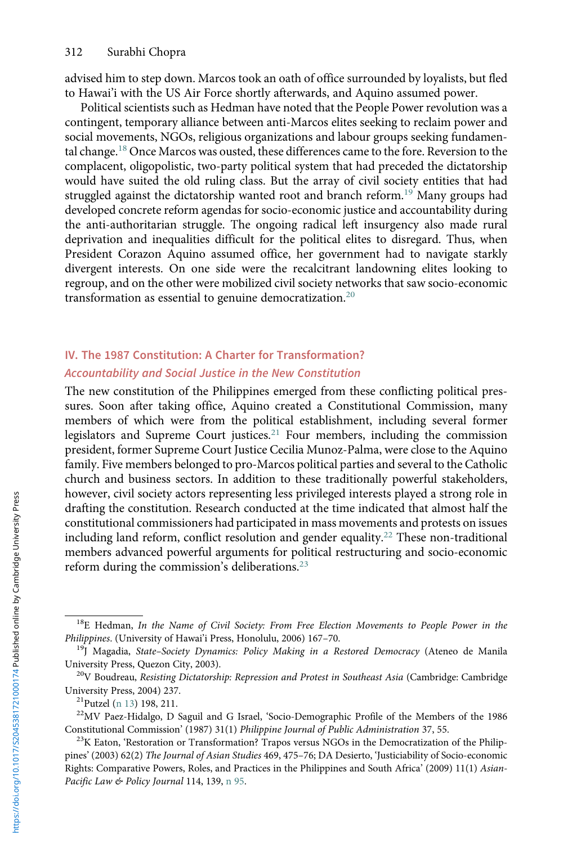<span id="page-5-0"></span>advised him to step down. Marcos took an oath of office surrounded by loyalists, but fled to Hawai'i with the US Air Force shortly afterwards, and Aquino assumed power.

Political scientists such as Hedman have noted that the People Power revolution was a contingent, temporary alliance between anti-Marcos elites seeking to reclaim power and social movements, NGOs, religious organizations and labour groups seeking fundamental change.<sup>18</sup> Once Marcos was ousted, these differences came to the fore. Reversion to the complacent, oligopolistic, two-party political system that had preceded the dictatorship would have suited the old ruling class. But the array of civil society entities that had struggled against the dictatorship wanted root and branch reform.<sup>19</sup> Many groups had developed concrete reform agendas for socio-economic justice and accountability during the anti-authoritarian struggle. The ongoing radical left insurgency also made rural deprivation and inequalities difficult for the political elites to disregard. Thus, when President Corazon Aquino assumed office, her government had to navigate starkly divergent interests. On one side were the recalcitrant landowning elites looking to regroup, and on the other were mobilized civil society networks that saw socio-economic transformation as essential to genuine democratization.<sup>20</sup>

# IV. The 1987 Constitution: A Charter for Transformation?

## Accountability and Social Justice in the New Constitution

The new constitution of the Philippines emerged from these conflicting political pressures. Soon after taking office, Aquino created a Constitutional Commission, many members of which were from the political establishment, including several former legislators and Supreme Court justices.<sup>21</sup> Four members, including the commission president, former Supreme Court Justice Cecilia Munoz-Palma, were close to the Aquino family. Five members belonged to pro-Marcos political parties and several to the Catholic church and business sectors. In addition to these traditionally powerful stakeholders, however, civil society actors representing less privileged interests played a strong role in drafting the constitution. Research conducted at the time indicated that almost half the constitutional commissioners had participated in mass movements and protests on issues including land reform, conflict resolution and gender equality.<sup>22</sup> These non-traditional members advanced powerful arguments for political restructuring and socio-economic reform during the commission's deliberations.<sup>23</sup>

 $18E$  Hedman, In the Name of Civil Society: From Free Election Movements to People Power in the Philippines. (University of Hawai'i Press, Honolulu, 2006) 167-70.

<sup>&</sup>lt;sup>19</sup>J Magadia, State-Society Dynamics: Policy Making in a Restored Democracy (Ateneo de Manila

University Press, Quezon City, 2003).<br><sup>20</sup>V Boudreau, *Resisting Dictatorship: Repression and Protest in Southeast Asia* (Cambridge: Cambridge<br>University Press, 2004) 237.

<sup>&</sup>lt;sup>21</sup>Putzel ([n 13\)](#page-3-0) 198, 211.<br><sup>22</sup>MV Paez-Hidalgo, D Saguil and G Israel, 'Socio-Demographic Profile of the Members of the 1986<br>Constitutional Commission' (1987) 31(1) *Philippine Journal of Public Administration* 37, 55.

<sup>&</sup>lt;sup>23</sup>K Eaton, 'Restoration or Transformation? Trapos versus NGOs in the Democratization of the Philippines' (2003) 62(2) The Journal of Asian Studies 469, 475–76; DA Desierto, 'Justiciability of Socio-economic Rights: Comparative Powers, Roles, and Practices in the Philippines and South Africa' (2009) 11(1) AsianPacific Law & Policy Journal 114, 139, [n 95.](#page-18-0)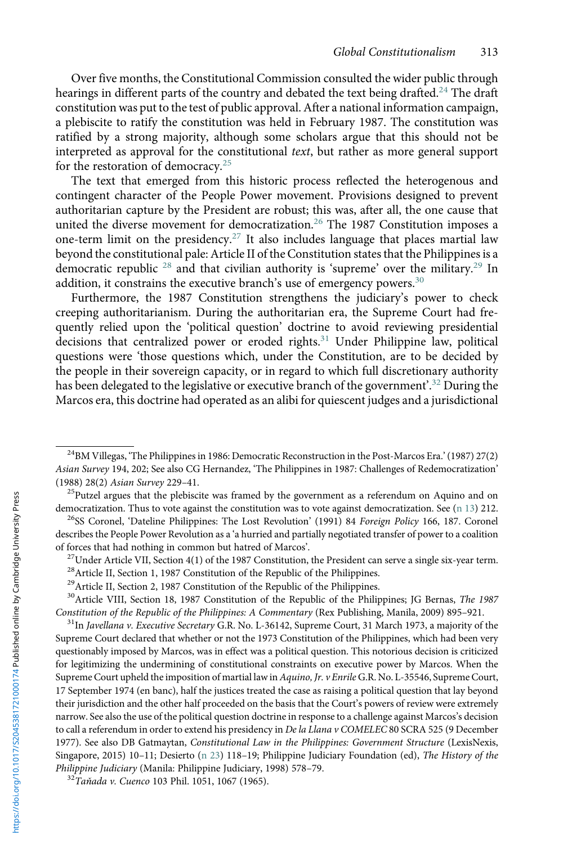<span id="page-6-0"></span>Over five months, the Constitutional Commission consulted the wider public through hearings in different parts of the country and debated the text being drafted.<sup>24</sup> The draft constitution was put to the test of public approval. After a national information campaign, a plebiscite to ratify the constitution was held in February 1987. The constitution was ratified by a strong majority, although some scholars argue that this should not be interpreted as approval for the constitutional text, but rather as more general support for the restoration of democracy.<sup>25</sup>

The text that emerged from this historic process reflected the heterogenous and contingent character of the People Power movement. Provisions designed to prevent authoritarian capture by the President are robust; this was, after all, the one cause that united the diverse movement for democratization.<sup>26</sup> The 1987 Constitution imposes a one-term limit on the presidency.<sup>27</sup> It also includes language that places martial law beyond the constitutional pale: Article II of the Constitution states that the Philippines is a democratic republic <sup>28</sup> and that civilian authority is 'supreme' over the military.<sup>29</sup> In addition, it constrains the executive branch's use of emergency powers.<sup>30</sup>

Furthermore, the 1987 Constitution strengthens the judiciary's power to check creeping authoritarianism. During the authoritarian era, the Supreme Court had frequently relied upon the 'political question' doctrine to avoid reviewing presidential decisions that centralized power or eroded rights.<sup>31</sup> Under Philippine law, political questions were 'those questions which, under the Constitution, are to be decided by the people in their sovereign capacity, or in regard to which full discretionary authority has been delegated to the legislative or executive branch of the government'. <sup>32</sup> During the Marcos era, this doctrine had operated as an alibi for quiescent judges and a jurisdictional

 $^{24}$ BM Villegas, 'The Philippines in 1986: Democratic Reconstruction in the Post-Marcos Era.' (1987) 27(2) Asian Survey 194, 202; See also CG Hernandez, 'The Philippines in 1987: Challenges of Redemocratization' (1988) 28(2) Asian Survey 229–41.<br><sup>25</sup>Putzel argues that the plebiscite was framed by the government as a referendum on Aquino and on

democratization. Thus to vote against the constitution was to vote against democratization. See [\(n 13](#page-3-0)) 212.<br><sup>26</sup>SS Coronel, 'Dateline Philippines: The Lost Revolution' (1991) 84 *Foreign Policy* 166, 187. Coronel describes the People Power Revolution as a 'a hurried and partially negotiated transfer of power to a coalition<br>of forces that had nothing in common but hatred of Marcos'.

<sup>&</sup>lt;sup>27</sup>Under Article VII, Section 4(1) of the 1987 Constitution, the President can serve a single six-year term. <sup>28</sup>Article II, Section 1, 1987 Constitution of the Republic of the Philippines.

<sup>&</sup>lt;sup>29</sup>Article II, Section 2, 1987 Constitution of the Republic of the Philippines.

 $30$ Article VIII, Section 18, 1987 Constitution of the Republic of the Philippines; JG Bernas, The 1987 Constitution of the Republic of the Philippines: A Commentary (Rex Publishing, Manila, 2009) 895–921.

<sup>&</sup>lt;sup>31</sup>In Javellana v. Executive Secretary G.R. No. L-36142, Supreme Court, 31 March 1973, a majority of the Supreme Court declared that whether or not the 1973 Constitution of the Philippines, which had been very questionably imposed by Marcos, was in effect was a political question. This notorious decision is criticized for legitimizing the undermining of constitutional constraints on executive power by Marcos. When the Supreme Court upheld the imposition of martial law in Aquino, Jr. v Enrile G.R. No. L-35546, Supreme Court, 17 September 1974 (en banc), half the justices treated the case as raising a political question that lay beyond their jurisdiction and the other half proceeded on the basis that the Court's powers of review were extremely narrow. See also the use of the political question doctrine in response to a challenge against Marcos's decision to call a referendum in order to extend his presidency in De la Llana v COMELEC 80 SCRA 525 (9 December 1977). See also DB Gatmaytan, Constitutional Law in the Philippines: Government Structure (LexisNexis, Singapore, 2015) 10–11; Desierto [\(n 23](#page-5-0)) 118–19; Philippine Judiciary Foundation (ed), The History of the Philippine Judiciary (Manila: Philippine Judiciary, 1998) 578–79.<br><sup>32</sup>Taňada v. Cuenco 103 Phil. 1051, 1067 (1965).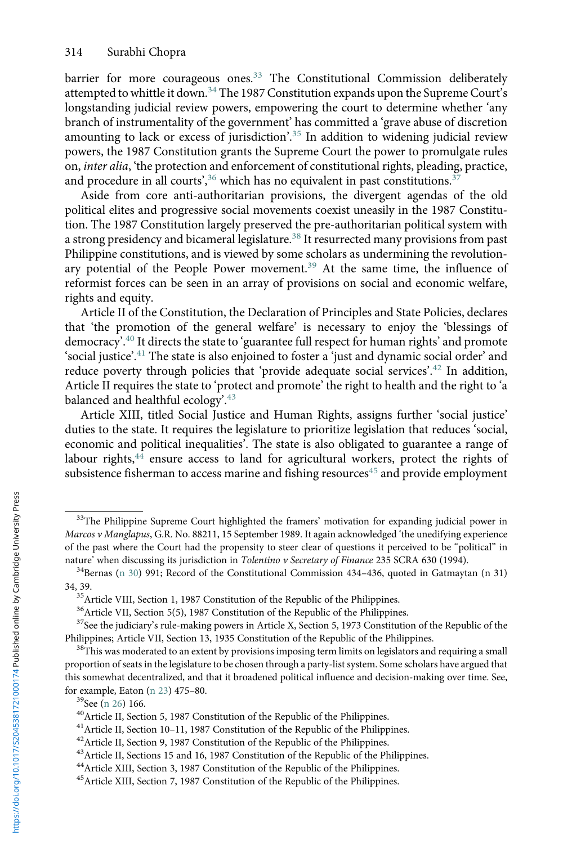barrier for more courageous ones.<sup>33</sup> The Constitutional Commission deliberately attempted to whittle it down.<sup>34</sup> The 1987 Constitution expands upon the Supreme Court's longstanding judicial review powers, empowering the court to determine whether 'any branch of instrumentality of the government' has committed a 'grave abuse of discretion amounting to lack or excess of jurisdiction'. <sup>35</sup> In addition to widening judicial review powers, the 1987 Constitution grants the Supreme Court the power to promulgate rules on, inter alia, 'the protection and enforcement of constitutional rights, pleading, practice, and procedure in all courts',  $36$  which has no equivalent in past constitutions.  $37$ 

Aside from core anti-authoritarian provisions, the divergent agendas of the old political elites and progressive social movements coexist uneasily in the 1987 Constitution. The 1987 Constitution largely preserved the pre-authoritarian political system with a strong presidency and bicameral legislature.<sup>38</sup> It resurrected many provisions from past Philippine constitutions, and is viewed by some scholars as undermining the revolutionary potential of the People Power movement.<sup>39</sup> At the same time, the influence of reformist forces can be seen in an array of provisions on social and economic welfare, rights and equity.

Article II of the Constitution, the Declaration of Principles and State Policies, declares that 'the promotion of the general welfare' is necessary to enjoy the 'blessings of democracy'. <sup>40</sup> It directs the state to 'guarantee full respect for human rights' and promote 'social justice'. <sup>41</sup> The state is also enjoined to foster a 'just and dynamic social order' and reduce poverty through policies that 'provide adequate social services'.<sup>42</sup> In addition, Article II requires the state to 'protect and promote' the right to health and the right to 'a balanced and healthful ecology'.<sup>43</sup>

Article XIII, titled Social Justice and Human Rights, assigns further 'social justice' duties to the state. It requires the legislature to prioritize legislation that reduces 'social, economic and political inequalities'. The state is also obligated to guarantee a range of labour rights,<sup>44</sup> ensure access to land for agricultural workers, protect the rights of subsistence fisherman to access marine and fishing resources<sup>45</sup> and provide employment

<sup>&</sup>lt;sup>33</sup>The Philippine Supreme Court highlighted the framers' motivation for expanding judicial power in Marcos v Manglapus, G.R. No. 88211, 15 September 1989. It again acknowledged 'the unedifying experience of the past where the Court had the propensity to steer clear of questions it perceived to be "political" in nature' when discussing its jurisdiction in *Tolentino v Secretary of Finance* 235 SCRA 630 (1994).<br><sup>34</sup>Bernas [\(n 30\)](#page-6-0) 991; Record of the Constitutional Commission 434–436, quoted in Gatmaytan (n 31)

<sup>34, 39.</sup> 35Article VIII, Section 1, 1987 Constitution of the Republic of the Philippines.

<sup>36</sup>Article VII, Section 5(5), 1987 Constitution of the Republic of the Philippines.

 $37$ See the judiciary's rule-making powers in Article X, Section 5, 1973 Constitution of the Republic of the Philippines.<br>Philippines: Article VII, Section 13, 1935 Constitution of the Republic of the Philippines.

<sup>&</sup>lt;sup>38</sup>This was moderated to an extent by provisions imposing term limits on legislators and requiring a small proportion of seats in the legislature to be chosen through a party-list system. Some scholars have argued that this somewhat decentralized, and that it broadened political influence and decision-making over time. See, for example, Eaton ([n 23\)](#page-5-0) 475–80.<br><sup>39</sup>See [\(n 26\)](#page-6-0) 166.<br><sup>40</sup>Article II, Section 5, 1987 Constitution of the Republic of the Philippines.<br><sup>41</sup>Article II, Section 10–11, 1987 Constitution of the Republic of the Philippines.

<sup>&</sup>lt;sup>42</sup>Article II, Section 9, 1987 Constitution of the Republic of the Philippines.

<sup>43</sup>Article II, Sections 15 and 16, 1987 Constitution of the Republic of the Philippines.

<sup>&</sup>lt;sup>44</sup> Article XIII, Section 3, 1987 Constitution of the Republic of the Philippines.

<sup>&</sup>lt;sup>45</sup> Article XIII, Section 7, 1987 Constitution of the Republic of the Philippines.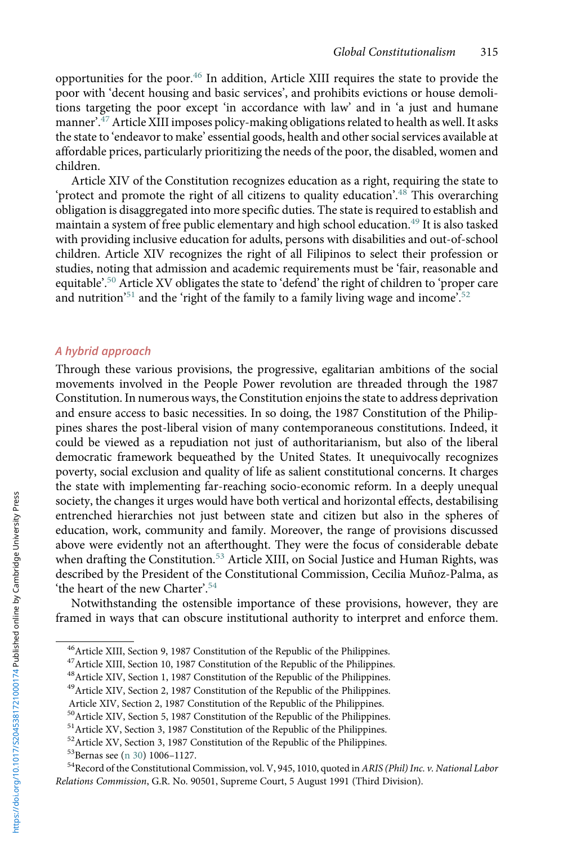opportunities for the poor.<sup>46</sup> In addition, Article XIII requires the state to provide the poor with 'decent housing and basic services', and prohibits evictions or house demolitions targeting the poor except 'in accordance with law' and in 'a just and humane manner'. $^{47}$  Article XIII imposes policy-making obligations related to health as well. It asks the state to 'endeavor to make' essential goods, health and other social services available at affordable prices, particularly prioritizing the needs of the poor, the disabled, women and children.

Article XIV of the Constitution recognizes education as a right, requiring the state to 'protect and promote the right of all citizens to quality education'. <sup>48</sup> This overarching obligation is disaggregated into more specific duties. The state is required to establish and maintain a system of free public elementary and high school education.<sup>49</sup> It is also tasked with providing inclusive education for adults, persons with disabilities and out-of-school children. Article XIV recognizes the right of all Filipinos to select their profession or studies, noting that admission and academic requirements must be 'fair, reasonable and equitable'. <sup>50</sup> Article XV obligates the state to 'defend' the right of children to 'proper care and nutrition<sup>'51</sup> and the 'right of the family to a family living wage and income'.<sup>52</sup>

### A hybrid approach

Through these various provisions, the progressive, egalitarian ambitions of the social movements involved in the People Power revolution are threaded through the 1987 Constitution. In numerous ways, the Constitution enjoins the state to address deprivation and ensure access to basic necessities. In so doing, the 1987 Constitution of the Philippines shares the post-liberal vision of many contemporaneous constitutions. Indeed, it could be viewed as a repudiation not just of authoritarianism, but also of the liberal democratic framework bequeathed by the United States. It unequivocally recognizes poverty, social exclusion and quality of life as salient constitutional concerns. It charges the state with implementing far-reaching socio-economic reform. In a deeply unequal society, the changes it urges would have both vertical and horizontal effects, destabilising entrenched hierarchies not just between state and citizen but also in the spheres of education, work, community and family. Moreover, the range of provisions discussed above were evidently not an afterthought. They were the focus of considerable debate when drafting the Constitution.<sup>53</sup> Article XIII, on Social Justice and Human Rights, was described by the President of the Constitutional Commission, Cecilia Muñoz-Palma, as 'the heart of the new Charter'. 54

Notwithstanding the ostensible importance of these provisions, however, they are framed in ways that can obscure institutional authority to interpret and enforce them.

<sup>&</sup>lt;sup>46</sup> Article XIII, Section 9, 1987 Constitution of the Republic of the Philippines.

<sup>&</sup>lt;sup>47</sup> Article XIII, Section 10, 1987 Constitution of the Republic of the Philippines.

<sup>48</sup>Article XIV, Section 1, 1987 Constitution of the Republic of the Philippines.

<sup>&</sup>lt;sup>49</sup> Article XIV, Section 2, 1987 Constitution of the Republic of the Philippines.

Article XIV, Section 2, 1987 Constitution of the Republic of the Philippines.

<sup>50</sup>Article XIV, Section 5, 1987 Constitution of the Republic of the Philippines.

<sup>&</sup>lt;sup>51</sup> Article XV, Section 3, 1987 Constitution of the Republic of the Philippines.

<sup>&</sup>lt;sup>52</sup>Article XV, Section 3, 1987 Constitution of the Republic of the Philippines.<br><sup>53</sup>Bernas see (n 30) 1006–1127.

<sup>&</sup>lt;sup>54</sup>Record of the Constitutional Commission, vol. V, 945, 1010, quoted in ARIS (Phil) Inc. v. National Labor Relations Commission, G.R. No. 90501, Supreme Court, 5 August 1991 (Third Division).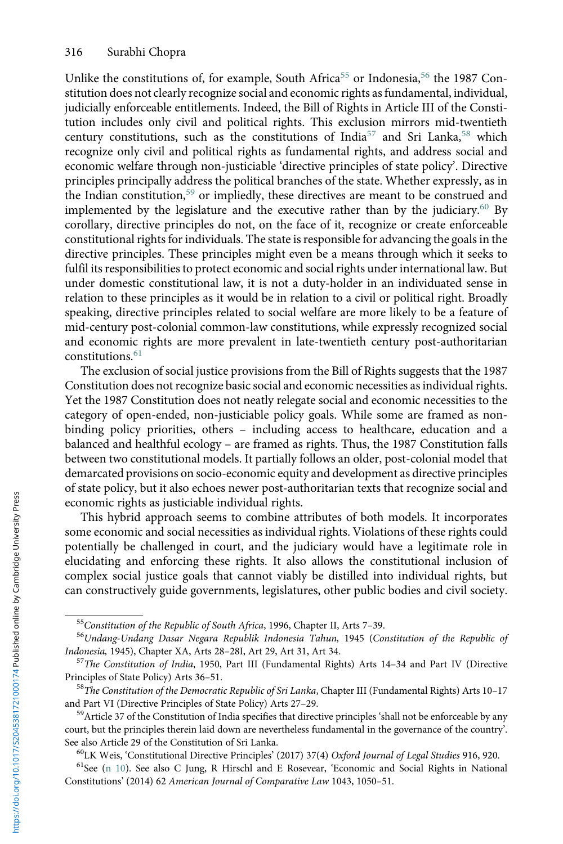<span id="page-9-0"></span>Unlike the constitutions of, for example, South Africa<sup>55</sup> or Indonesia,<sup>56</sup> the 1987 Constitution does not clearly recognize social and economic rights as fundamental, individual, judicially enforceable entitlements. Indeed, the Bill of Rights in Article III of the Constitution includes only civil and political rights. This exclusion mirrors mid-twentieth century constitutions, such as the constitutions of India<sup>57</sup> and Sri Lanka,<sup>58</sup> which recognize only civil and political rights as fundamental rights, and address social and economic welfare through non-justiciable 'directive principles of state policy'. Directive principles principally address the political branches of the state. Whether expressly, as in the Indian constitution,<sup>59</sup> or impliedly, these directives are meant to be construed and implemented by the legislature and the executive rather than by the judiciary.<sup>60</sup> By corollary, directive principles do not, on the face of it, recognize or create enforceable constitutional rights for individuals. The state is responsible for advancing the goals in the directive principles. These principles might even be a means through which it seeks to fulfil its responsibilities to protect economic and social rights under international law. But under domestic constitutional law, it is not a duty-holder in an individuated sense in relation to these principles as it would be in relation to a civil or political right. Broadly speaking, directive principles related to social welfare are more likely to be a feature of mid-century post-colonial common-law constitutions, while expressly recognized social and economic rights are more prevalent in late-twentieth century post-authoritarian constitutions.<sup>61</sup>

The exclusion of social justice provisions from the Bill of Rights suggests that the 1987 Constitution does not recognize basic social and economic necessities as individual rights. Yet the 1987 Constitution does not neatly relegate social and economic necessities to the category of open-ended, non-justiciable policy goals. While some are framed as nonbinding policy priorities, others – including access to healthcare, education and a balanced and healthful ecology – are framed as rights. Thus, the 1987 Constitution falls between two constitutional models. It partially follows an older, post-colonial model that demarcated provisions on socio-economic equity and development as directive principles of state policy, but it also echoes newer post-authoritarian texts that recognize social and economic rights as justiciable individual rights.

This hybrid approach seems to combine attributes of both models. It incorporates some economic and social necessities as individual rights. Violations of these rights could potentially be challenged in court, and the judiciary would have a legitimate role in elucidating and enforcing these rights. It also allows the constitutional inclusion of complex social justice goals that cannot viably be distilled into individual rights, but can constructively guide governments, legislatures, other public bodies and civil society.

<sup>&</sup>lt;sup>55</sup>Constitution of the Republic of South Africa, 1996, Chapter II, Arts 7–39.<br><sup>56</sup>Undang-Undang Dasar Negara Republik Indonesia Tahun, 1945 (Constitution of the Republic of Indonesia, 1945), Chapter XA, Arts 28–28I, Art 29, Art 31, Art 34.<br><sup>57</sup>The Constitution of India, 1950, Part III (Fundamental Rights) Arts 14–34 and Part IV (Directive

Principles of State Policy) Arts 36–51.<br><sup>58</sup>The Constitution of the Democratic Republic of Sri Lanka, Chapter III (Fundamental Rights) Arts 10–17

and Part VI (Directive Principles of State Policy) Arts 27–29.<br><sup>59</sup>Article 37 of the Constitution of India specifies that directive principles 'shall not be enforceable by any

court, but the principles therein laid down are nevertheless fundamental in the governance of the country'. See also Article 29 of the Constitution of Sri Lanka.<br><sup>60</sup>LK Weis, 'Constitutional Directive Principles' (2017) 37(4) Oxford Journal of Legal Studies 916, 920.<br><sup>61</sup>See ([n 10](#page-3-0)). See also C Jung, R Hirschl and E Rosevear, 'Ec

Constitutions' (2014) 62 American Journal of Comparative Law 1043, 1050–51.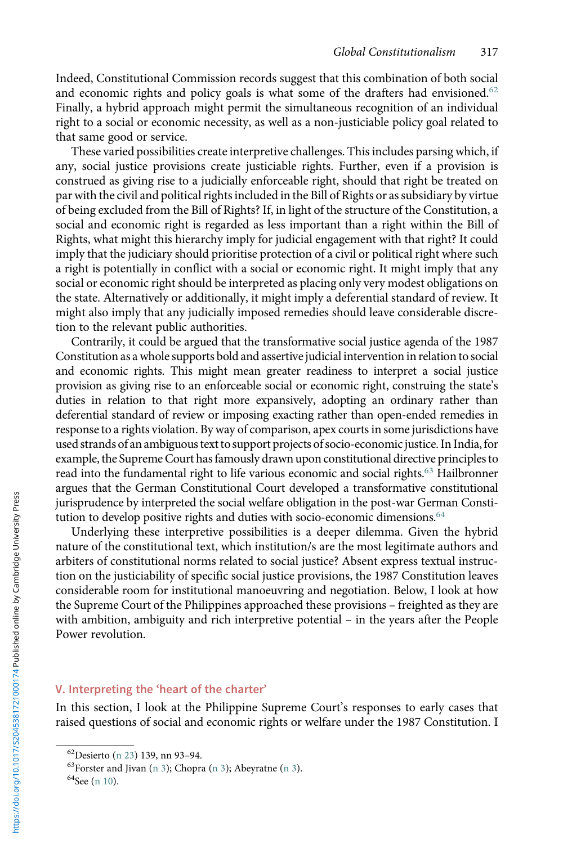Indeed, Constitutional Commission records suggest that this combination of both social and economic rights and policy goals is what some of the drafters had envisioned.<sup>62</sup> Finally, a hybrid approach might permit the simultaneous recognition of an individual right to a social or economic necessity, as well as a non-justiciable policy goal related to that same good or service.

These varied possibilities create interpretive challenges. This includes parsing which, if any, social justice provisions create justiciable rights. Further, even if a provision is construed as giving rise to a judicially enforceable right, should that right be treated on par with the civil and political rights included in the Bill of Rights or as subsidiary by virtue of being excluded from the Bill of Rights? If, in light of the structure of the Constitution, a social and economic right is regarded as less important than a right within the Bill of Rights, what might this hierarchy imply for judicial engagement with that right? It could imply that the judiciary should prioritise protection of a civil or political right where such a right is potentially in conflict with a social or economic right. It might imply that any social or economic right should be interpreted as placing only very modest obligations on the state. Alternatively or additionally, it might imply a deferential standard of review. It might also imply that any judicially imposed remedies should leave considerable discretion to the relevant public authorities.

Contrarily, it could be argued that the transformative social justice agenda of the 1987 Constitution as a whole supports bold and assertive judicial intervention in relation to social and economic rights. This might mean greater readiness to interpret a social justice provision as giving rise to an enforceable social or economic right, construing the state's duties in relation to that right more expansively, adopting an ordinary rather than deferential standard of review or imposing exacting rather than open-ended remedies in response to a rights violation. By way of comparison, apex courts in some jurisdictions have used strands of an ambiguous text to support projects of socio-economic justice. In India,for example, the Supreme Court hasfamously drawn upon constitutional directive principles to read into the fundamental right to life various economic and social rights.63 Hailbronner argues that the German Constitutional Court developed a transformative constitutional jurisprudence by interpreted the social welfare obligation in the post-war German Constitution to develop positive rights and duties with socio-economic dimensions.<sup>64</sup>

Underlying these interpretive possibilities is a deeper dilemma. Given the hybrid nature of the constitutional text, which institution/s are the most legitimate authors and arbiters of constitutional norms related to social justice? Absent express textual instruction on the justiciability of specific social justice provisions, the 1987 Constitution leaves considerable room for institutional manoeuvring and negotiation. Below, I look at how the Supreme Court of the Philippines approached these provisions – freighted as they are with ambition, ambiguity and rich interpretive potential – in the years after the People Power revolution.

## V. Interpreting the 'heart of the charter'

In this section, I look at the Philippine Supreme Court's responses to early cases that raised questions of social and economic rights or welfare under the 1987 Constitution. I

<sup>&</sup>lt;sup>62</sup>Desierto ([n 23\)](#page-5-0) 139, nn 93–94.<br><sup>63</sup>Forster and Jivan ([n 3](#page-1-0)); Chopra [\(n 3\)](#page-1-0); Abeyratne (n 3). <sup>64</sup>See [\(n 10](#page-3-0)).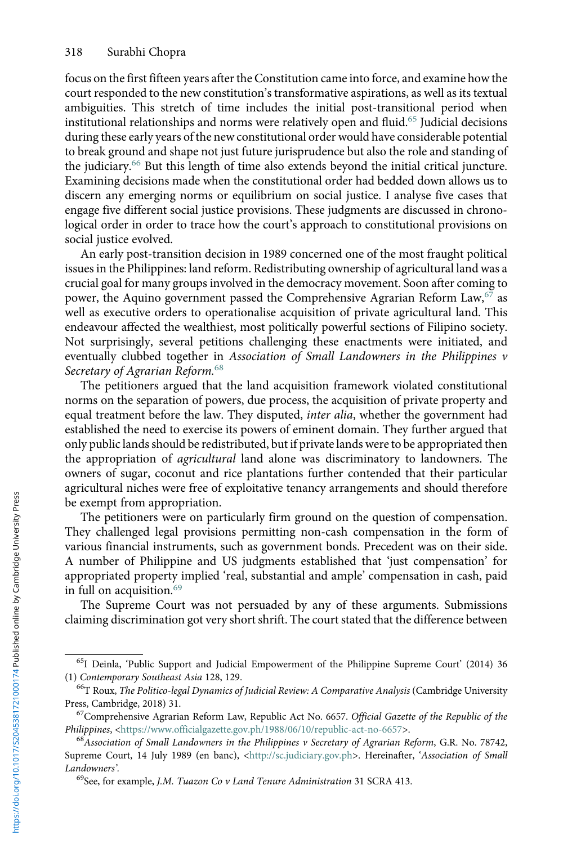<span id="page-11-0"></span>focus on the first fifteen years after the Constitution came into force, and examine how the court responded to the new constitution's transformative aspirations, as well as its textual ambiguities. This stretch of time includes the initial post-transitional period when institutional relationships and norms were relatively open and fluid.<sup>65</sup> Judicial decisions during these early years of the new constitutional order would have considerable potential to break ground and shape not just future jurisprudence but also the role and standing of the judiciary.<sup>66</sup> But this length of time also extends beyond the initial critical juncture. Examining decisions made when the constitutional order had bedded down allows us to discern any emerging norms or equilibrium on social justice. I analyse five cases that engage five different social justice provisions. These judgments are discussed in chronological order in order to trace how the court's approach to constitutional provisions on social justice evolved.

An early post-transition decision in 1989 concerned one of the most fraught political issues in the Philippines: land reform. Redistributing ownership of agricultural land was a crucial goal for many groups involved in the democracy movement. Soon after coming to power, the Aquino government passed the Comprehensive Agrarian Reform Law,<sup>67</sup> as well as executive orders to operationalise acquisition of private agricultural land. This endeavour affected the wealthiest, most politically powerful sections of Filipino society. Not surprisingly, several petitions challenging these enactments were initiated, and eventually clubbed together in Association of Small Landowners in the Philippines v Secretary of Agrarian Reform.<sup>68</sup>

The petitioners argued that the land acquisition framework violated constitutional norms on the separation of powers, due process, the acquisition of private property and equal treatment before the law. They disputed, inter alia, whether the government had established the need to exercise its powers of eminent domain. They further argued that only public lands should be redistributed, but if private lands were to be appropriated then the appropriation of agricultural land alone was discriminatory to landowners. The owners of sugar, coconut and rice plantations further contended that their particular agricultural niches were free of exploitative tenancy arrangements and should therefore be exempt from appropriation.

The petitioners were on particularly firm ground on the question of compensation. They challenged legal provisions permitting non-cash compensation in the form of various financial instruments, such as government bonds. Precedent was on their side. A number of Philippine and US judgments established that 'just compensation' for appropriated property implied 'real, substantial and ample' compensation in cash, paid in full on acquisition.<sup>69</sup>

The Supreme Court was not persuaded by any of these arguments. Submissions claiming discrimination got very short shrift. The court stated that the difference between

<sup>65</sup>I Deinla, 'Public Support and Judicial Empowerment of the Philippine Supreme Court' (2014) 36 (1) Contemporary Southeast Asia 128, 129.<br><sup>66</sup>T Roux, *The Politico-legal Dynamics of Judicial Review: A Comparative Analysis* (Cambridge University

Press, Cambridge, 2018) 31.<br><sup>67</sup>Comprehensive Agrarian Reform Law, Republic Act No. 6657. Official Gazette of the Republic of the<br>*Philippines*, <https://www.officialgazette.gov.ph/1988/06/10/republic-act-no-6657>.

 $^{68}$ Association of Small Landowners in the Philippines v Secretary of Agrarian Reform, G.R. No. 78742, Supreme Court, 14 July 1989 (en banc), <[http://sc.judiciary.gov.ph>](http://sc.judiciary.gov.ph). Hereinafter, 'Association of Small Landowners'.<br><sup>69</sup>See, for example, J.M. Tuazon Co v Land Tenure Administration 31 SCRA 413.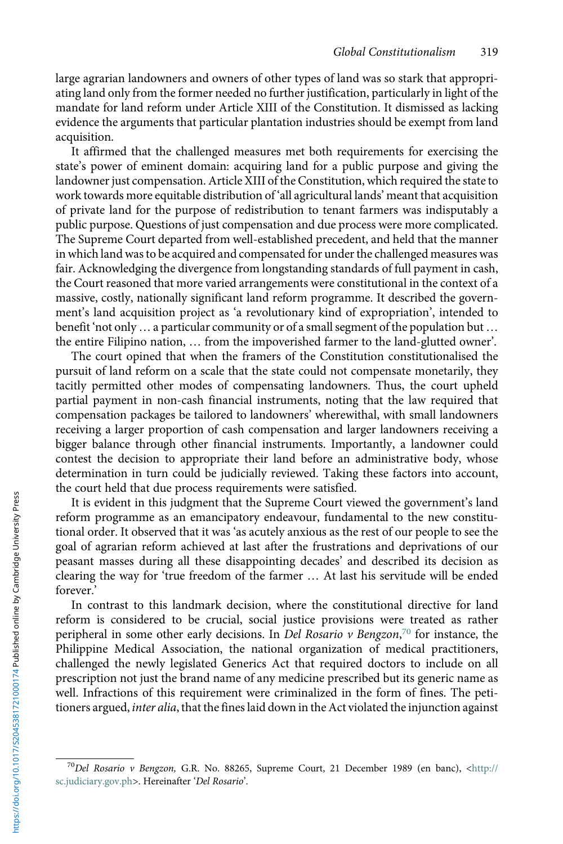large agrarian landowners and owners of other types of land was so stark that appropriating land only from the former needed no further justification, particularly in light of the mandate for land reform under Article XIII of the Constitution. It dismissed as lacking evidence the arguments that particular plantation industries should be exempt from land acquisition.

It affirmed that the challenged measures met both requirements for exercising the state's power of eminent domain: acquiring land for a public purpose and giving the landowner just compensation. Article XIII of the Constitution, which required the state to work towards more equitable distribution of 'all agricultural lands' meant that acquisition of private land for the purpose of redistribution to tenant farmers was indisputably a public purpose. Questions of just compensation and due process were more complicated. The Supreme Court departed from well-established precedent, and held that the manner in which land was to be acquired and compensated for under the challenged measures was fair. Acknowledging the divergence from longstanding standards of full payment in cash, the Court reasoned that more varied arrangements were constitutional in the context of a massive, costly, nationally significant land reform programme. It described the government's land acquisition project as 'a revolutionary kind of expropriation', intended to benefit 'not only … a particular community or of a small segment of the population but … the entire Filipino nation, … from the impoverished farmer to the land-glutted owner'.

The court opined that when the framers of the Constitution constitutionalised the pursuit of land reform on a scale that the state could not compensate monetarily, they tacitly permitted other modes of compensating landowners. Thus, the court upheld partial payment in non-cash financial instruments, noting that the law required that compensation packages be tailored to landowners' wherewithal, with small landowners receiving a larger proportion of cash compensation and larger landowners receiving a bigger balance through other financial instruments. Importantly, a landowner could contest the decision to appropriate their land before an administrative body, whose determination in turn could be judicially reviewed. Taking these factors into account, the court held that due process requirements were satisfied.

It is evident in this judgment that the Supreme Court viewed the government's land reform programme as an emancipatory endeavour, fundamental to the new constitutional order. It observed that it was 'as acutely anxious as the rest of our people to see the goal of agrarian reform achieved at last after the frustrations and deprivations of our peasant masses during all these disappointing decades' and described its decision as clearing the way for 'true freedom of the farmer … At last his servitude will be ended forever.'

In contrast to this landmark decision, where the constitutional directive for land reform is considered to be crucial, social justice provisions were treated as rather peripheral in some other early decisions. In Del Rosario v Bengzon,<sup>70</sup> for instance, the Philippine Medical Association, the national organization of medical practitioners, challenged the newly legislated Generics Act that required doctors to include on all prescription not just the brand name of any medicine prescribed but its generic name as well. Infractions of this requirement were criminalized in the form of fines. The petitioners argued, inter alia, that the fines laid down in the Act violated the injunction against

 $70$ Del Rosario v Bengzon, G.R. No. 88265, Supreme Court, 21 December 1989 (en banc), [<http://](http://sc.judiciary.gov.ph/) [sc.judiciary.gov.ph](http://sc.judiciary.gov.ph/)>. Hereinafter 'Del Rosario'.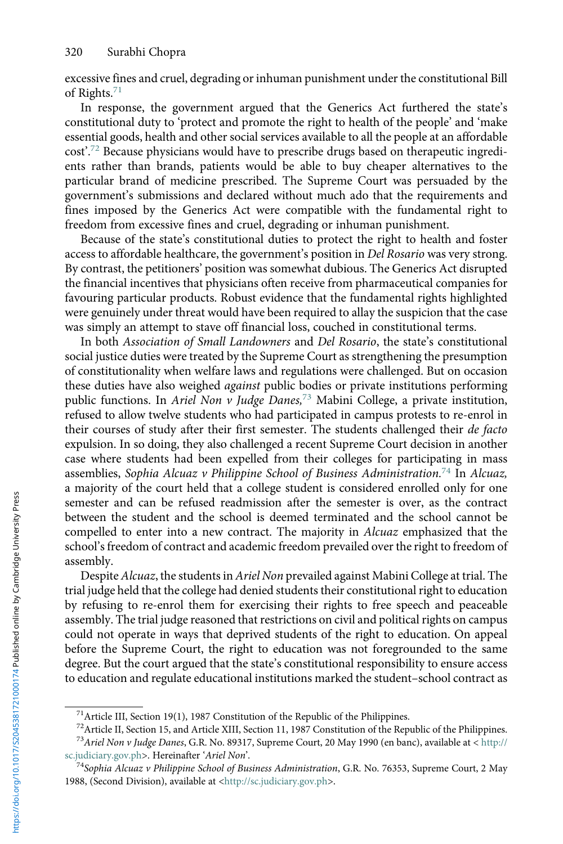excessive fines and cruel, degrading or inhuman punishment under the constitutional Bill of Rights.<sup>71</sup>

In response, the government argued that the Generics Act furthered the state's constitutional duty to 'protect and promote the right to health of the people' and 'make essential goods, health and other social services available to all the people at an affordable cost'. <sup>72</sup> Because physicians would have to prescribe drugs based on therapeutic ingredients rather than brands, patients would be able to buy cheaper alternatives to the particular brand of medicine prescribed. The Supreme Court was persuaded by the government's submissions and declared without much ado that the requirements and fines imposed by the Generics Act were compatible with the fundamental right to freedom from excessive fines and cruel, degrading or inhuman punishment.

Because of the state's constitutional duties to protect the right to health and foster access to affordable healthcare, the government's position in Del Rosario was very strong. By contrast, the petitioners' position was somewhat dubious. The Generics Act disrupted the financial incentives that physicians often receive from pharmaceutical companies for favouring particular products. Robust evidence that the fundamental rights highlighted were genuinely under threat would have been required to allay the suspicion that the case was simply an attempt to stave off financial loss, couched in constitutional terms.

In both Association of Small Landowners and Del Rosario, the state's constitutional social justice duties were treated by the Supreme Court as strengthening the presumption of constitutionality when welfare laws and regulations were challenged. But on occasion these duties have also weighed against public bodies or private institutions performing public functions. In Ariel Non v Judge Danes,<sup>73</sup> Mabini College, a private institution, refused to allow twelve students who had participated in campus protests to re-enrol in their courses of study after their first semester. The students challenged their de facto expulsion. In so doing, they also challenged a recent Supreme Court decision in another case where students had been expelled from their colleges for participating in mass assemblies, Sophia Alcuaz v Philippine School of Business Administration.<sup>74</sup> In Alcuaz, a majority of the court held that a college student is considered enrolled only for one semester and can be refused readmission after the semester is over, as the contract between the student and the school is deemed terminated and the school cannot be compelled to enter into a new contract. The majority in Alcuaz emphasized that the school's freedom of contract and academic freedom prevailed over the right to freedom of assembly.

Despite Alcuaz, the students in Ariel Non prevailed against Mabini College at trial. The trial judge held that the college had denied students their constitutional right to education by refusing to re-enrol them for exercising their rights to free speech and peaceable assembly. The trial judge reasoned that restrictions on civil and political rights on campus could not operate in ways that deprived students of the right to education. On appeal before the Supreme Court, the right to education was not foregrounded to the same degree. But the court argued that the state's constitutional responsibility to ensure access to education and regulate educational institutions marked the student–school contract as

 $71$ Article III, Section 19(1), 1987 Constitution of the Republic of the Philippines.

<sup>72</sup>Article II, Section 15, and Article XIII, Section 11, 1987 Constitution of the Republic of the Philippines.

<sup>73</sup>Ariel Non v Judge Danes, G.R. No. 89317, Supreme Court, 20 May 1990 (en banc), available at < [http://](http://sc.judiciary.gov.ph/) [sc.judiciary.gov.ph>](http://sc.judiciary.gov.ph/). Hereinafter 'Ariel Non'.<br><sup>74</sup>Sophia Alcuaz v Philippine School of Business Administration, G.R. No. 76353, Supreme Court, 2 May

<sup>1988, (</sup>Second Division), available at <[http://sc.judiciary.gov.ph>](http://sc.judiciary.gov.ph).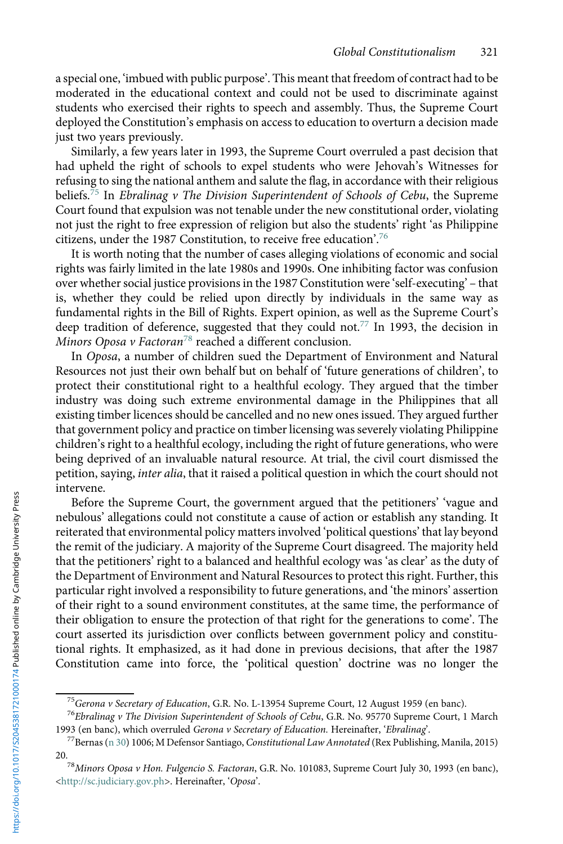a special one, 'imbued with public purpose'. This meant that freedom of contract had to be moderated in the educational context and could not be used to discriminate against students who exercised their rights to speech and assembly. Thus, the Supreme Court deployed the Constitution's emphasis on access to education to overturn a decision made just two years previously.

Similarly, a few years later in 1993, the Supreme Court overruled a past decision that had upheld the right of schools to expel students who were Jehovah's Witnesses for refusing to sing the national anthem and salute the flag, in accordance with their religious beliefs.<sup>75</sup> In Ebralinag v The Division Superintendent of Schools of Cebu, the Supreme Court found that expulsion was not tenable under the new constitutional order, violating not just the right to free expression of religion but also the students' right 'as Philippine citizens, under the 1987 Constitution, to receive free education'. 76

It is worth noting that the number of cases alleging violations of economic and social rights was fairly limited in the late 1980s and 1990s. One inhibiting factor was confusion over whether social justice provisions in the 1987 Constitution were 'self-executing' – that is, whether they could be relied upon directly by individuals in the same way as fundamental rights in the Bill of Rights. Expert opinion, as well as the Supreme Court's deep tradition of deference, suggested that they could not.<sup>77</sup> In 1993, the decision in Minors Oposa v Factoran<sup>78</sup> reached a different conclusion.

In Oposa, a number of children sued the Department of Environment and Natural Resources not just their own behalf but on behalf of 'future generations of children', to protect their constitutional right to a healthful ecology. They argued that the timber industry was doing such extreme environmental damage in the Philippines that all existing timber licences should be cancelled and no new ones issued. They argued further that government policy and practice on timber licensing was severely violating Philippine children's right to a healthful ecology, including the right of future generations, who were being deprived of an invaluable natural resource. At trial, the civil court dismissed the petition, saying, inter alia, that it raised a political question in which the court should not intervene.

Before the Supreme Court, the government argued that the petitioners' 'vague and nebulous' allegations could not constitute a cause of action or establish any standing. It reiterated that environmental policy matters involved 'political questions' that lay beyond the remit of the judiciary. A majority of the Supreme Court disagreed. The majority held that the petitioners' right to a balanced and healthful ecology was 'as clear' as the duty of the Department of Environment and Natural Resources to protect this right. Further, this particular right involved a responsibility to future generations, and 'the minors' assertion of their right to a sound environment constitutes, at the same time, the performance of their obligation to ensure the protection of that right for the generations to come'. The court asserted its jurisdiction over conflicts between government policy and constitutional rights. It emphasized, as it had done in previous decisions, that after the 1987 Constitution came into force, the 'political question' doctrine was no longer the

<sup>&</sup>lt;sup>75</sup>Gerona v Secretary of Education, G.R. No. L-13954 Supreme Court, 12 August 1959 (en banc).<br><sup>76</sup>Ebralinag v The Division Superintendent of Schools of Cebu, G.R. No. 95770 Supreme Court, 1 March<br>1993 (en banc), which ov

<sup>&</sup>lt;sup>77</sup> Bernas ([n 30](#page-6-0)) 1006; M Defensor Santiago, Constitutional Law Annotated (Rex Publishing, Manila, 2015)

<sup>20.&</sup>lt;br><sup>78</sup>Minors Oposa v Hon. Fulgencio S. Factoran, G.R. No. 101083, Supreme Court July 30, 1993 (en banc), <[http://sc.judiciary.gov.ph>](http://sc.judiciary.gov.ph/). Hereinafter, 'Oposa'.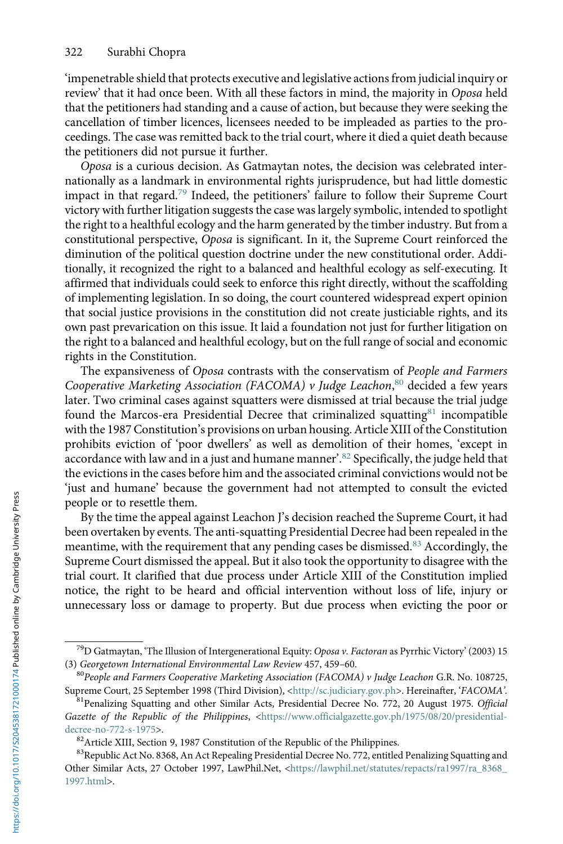'impenetrable shield that protects executive and legislative actions from judicial inquiry or review' that it had once been. With all these factors in mind, the majority in Oposa held that the petitioners had standing and a cause of action, but because they were seeking the cancellation of timber licences, licensees needed to be impleaded as parties to the proceedings. The case was remitted back to the trial court, where it died a quiet death because the petitioners did not pursue it further.

Oposa is a curious decision. As Gatmaytan notes, the decision was celebrated internationally as a landmark in environmental rights jurisprudence, but had little domestic impact in that regard.<sup>79</sup> Indeed, the petitioners' failure to follow their Supreme Court victory with further litigation suggests the case was largely symbolic, intended to spotlight the right to a healthful ecology and the harm generated by the timber industry. But from a constitutional perspective, Oposa is significant. In it, the Supreme Court reinforced the diminution of the political question doctrine under the new constitutional order. Additionally, it recognized the right to a balanced and healthful ecology as self-executing. It affirmed that individuals could seek to enforce this right directly, without the scaffolding of implementing legislation. In so doing, the court countered widespread expert opinion that social justice provisions in the constitution did not create justiciable rights, and its own past prevarication on this issue. It laid a foundation not just for further litigation on the right to a balanced and healthful ecology, but on the full range of social and economic rights in the Constitution.

The expansiveness of Oposa contrasts with the conservatism of People and Farmers Cooperative Marketing Association (FACOMA) v Judge Leachon,<sup>80</sup> decided a few years later. Two criminal cases against squatters were dismissed at trial because the trial judge found the Marcos-era Presidential Decree that criminalized squatting<sup>81</sup> incompatible with the 1987 Constitution's provisions on urban housing. Article XIII of the Constitution prohibits eviction of 'poor dwellers' as well as demolition of their homes, 'except in accordance with law and in a just and humane manner'. <sup>82</sup> Specifically, the judge held that the evictions in the cases before him and the associated criminal convictions would not be 'just and humane' because the government had not attempted to consult the evicted people or to resettle them.

By the time the appeal against Leachon J's decision reached the Supreme Court, it had been overtaken by events. The anti-squatting Presidential Decree had been repealed in the meantime, with the requirement that any pending cases be dismissed.<sup>83</sup> Accordingly, the Supreme Court dismissed the appeal. But it also took the opportunity to disagree with the trial court. It clarified that due process under Article XIII of the Constitution implied notice, the right to be heard and official intervention without loss of life, injury or unnecessary loss or damage to property. But due process when evicting the poor or

 $^{79}$ D Gatmaytan, 'The Illusion of Intergenerational Equity: Oposa v. Factoran as Pyrrhic Victory' (2003) 15 (3) Georgetown International Environmental Law Review 457, 459–60.<br><sup>80</sup>People and Farmers Cooperative Marketing Association (FACOMA) v Judge Leachon G.R. No. 108725,

Supreme Court, 25 September 1998 (Third Division), [<http://sc.judiciary.gov.ph](http://sc.judiciary.gov.ph/)>. Hereinafter, 'FACOMA'. <sup>81</sup>Penalizing Squatting and other Similar Acts, Presidential Decree No. 772, 20 August 1975. Official

Gazette of the Republic of the Philippines, <https://www.officialgazette.gov.ph/1975/08/20/presidential-decree-no-772-s-1975>.

<sup>&</sup>lt;sup>82</sup> Article XIII, Section 9, 1987 Constitution of the Republic of the Philippines.

<sup>83</sup> Republic Act No. 8368, An Act Repealing Presidential Decree No. 772, entitled Penalizing Squatting and Other Similar Acts, 27 October 1997, LawPhil.Net, [<https://lawphil.net/statutes/repacts/ra1997/ra\\_8368\\_](https://lawphil.net/statutes/repacts/ra1997/ra_8368_1997.html) [1997.html>](https://lawphil.net/statutes/repacts/ra1997/ra_8368_1997.html).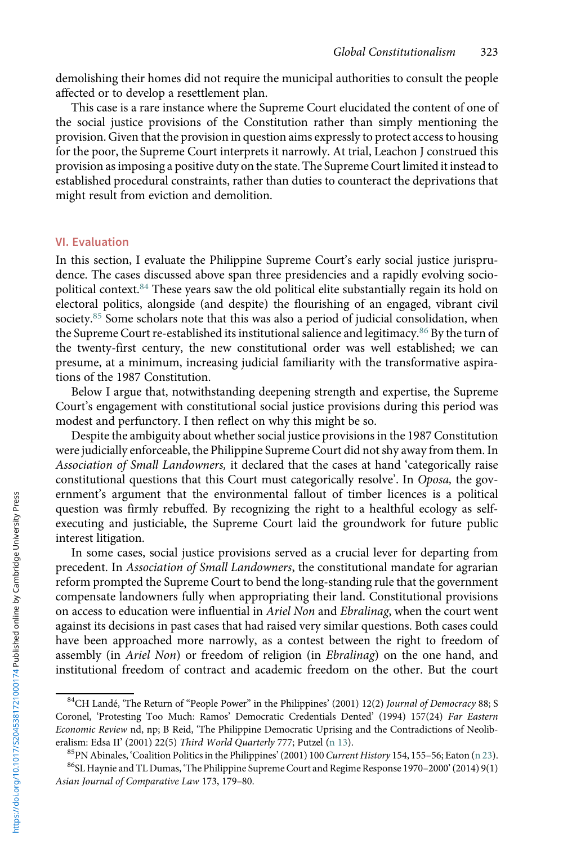<span id="page-16-0"></span>demolishing their homes did not require the municipal authorities to consult the people affected or to develop a resettlement plan.

This case is a rare instance where the Supreme Court elucidated the content of one of the social justice provisions of the Constitution rather than simply mentioning the provision. Given that the provision in question aims expressly to protect access to housing for the poor, the Supreme Court interprets it narrowly. At trial, Leachon J construed this provision as imposing a positive duty on the state. The Supreme Court limited it instead to established procedural constraints, rather than duties to counteract the deprivations that might result from eviction and demolition.

## VI. Evaluation

In this section, I evaluate the Philippine Supreme Court's early social justice jurisprudence. The cases discussed above span three presidencies and a rapidly evolving sociopolitical context.<sup>84</sup> These years saw the old political elite substantially regain its hold on electoral politics, alongside (and despite) the flourishing of an engaged, vibrant civil society.<sup>85</sup> Some scholars note that this was also a period of judicial consolidation, when the Supreme Court re-established its institutional salience and legitimacy.<sup>86</sup> By the turn of the twenty-first century, the new constitutional order was well established; we can presume, at a minimum, increasing judicial familiarity with the transformative aspirations of the 1987 Constitution.

Below I argue that, notwithstanding deepening strength and expertise, the Supreme Court's engagement with constitutional social justice provisions during this period was modest and perfunctory. I then reflect on why this might be so.

Despite the ambiguity about whether social justice provisions in the 1987 Constitution were judicially enforceable, the Philippine Supreme Court did not shy away from them. In Association of Small Landowners, it declared that the cases at hand 'categorically raise constitutional questions that this Court must categorically resolve'. In Oposa, the government's argument that the environmental fallout of timber licences is a political question was firmly rebuffed. By recognizing the right to a healthful ecology as selfexecuting and justiciable, the Supreme Court laid the groundwork for future public interest litigation.

In some cases, social justice provisions served as a crucial lever for departing from precedent. In Association of Small Landowners, the constitutional mandate for agrarian reform prompted the Supreme Court to bend the long-standing rule that the government compensate landowners fully when appropriating their land. Constitutional provisions on access to education were influential in Ariel Non and Ebralinag, when the court went against its decisions in past cases that had raised very similar questions. Both cases could have been approached more narrowly, as a contest between the right to freedom of assembly (in Ariel Non) or freedom of religion (in Ebralinag) on the one hand, and institutional freedom of contract and academic freedom on the other. But the court

<sup>&</sup>lt;sup>84</sup>CH Landé, 'The Return of "People Power" in the Philippines' (2001) 12(2) Journal of Democracy 88; S Coronel, 'Protesting Too Much: Ramos' Democratic Credentials Dented' (1994) 157(24) Far Eastern Economic Review nd, np; B Reid, 'The Philippine Democratic Uprising and the Contradictions of Neolib-eralism: Edsa II' (2001) 22(5) Third World Quarterly 777; Putzel [\(n 13](#page-3-0)).<br><sup>85</sup>PN Abinales, 'Coalition Politics in the Philippines' (2001) 100 Current History 154, 155–56; Eaton ([n 23\)](#page-5-0).<br><sup>86</sup>SL Haynie and TL Dumas, 'The Phil

Asian Journal of Comparative Law 173, 179–80.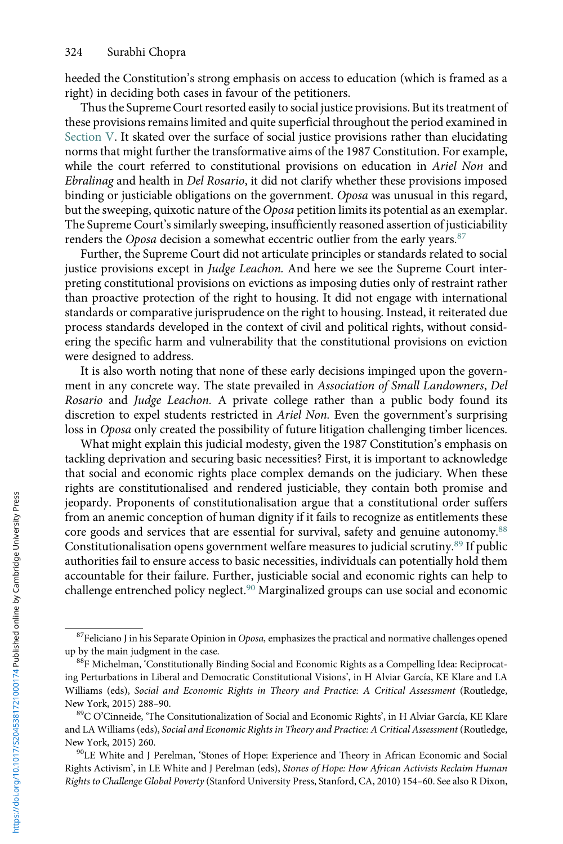<span id="page-17-0"></span>heeded the Constitution's strong emphasis on access to education (which is framed as a right) in deciding both cases in favour of the petitioners.

Thus the Supreme Court resorted easily to social justice provisions. But its treatment of these provisions remains limited and quite superficial throughout the period examined in Section V. It skated over the surface of social justice provisions rather than elucidating norms that might further the transformative aims of the 1987 Constitution. For example, while the court referred to constitutional provisions on education in Ariel Non and Ebralinag and health in Del Rosario, it did not clarify whether these provisions imposed binding or justiciable obligations on the government. Oposa was unusual in this regard, but the sweeping, quixotic nature of the Oposa petition limits its potential as an exemplar. The Supreme Court's similarly sweeping, insufficiently reasoned assertion of justiciability renders the Oposa decision a somewhat eccentric outlier from the early years.<sup>87</sup>

Further, the Supreme Court did not articulate principles or standards related to social justice provisions except in Judge Leachon. And here we see the Supreme Court interpreting constitutional provisions on evictions as imposing duties only of restraint rather than proactive protection of the right to housing. It did not engage with international standards or comparative jurisprudence on the right to housing. Instead, it reiterated due process standards developed in the context of civil and political rights, without considering the specific harm and vulnerability that the constitutional provisions on eviction were designed to address.

It is also worth noting that none of these early decisions impinged upon the government in any concrete way. The state prevailed in Association of Small Landowners, Del Rosario and Judge Leachon. A private college rather than a public body found its discretion to expel students restricted in Ariel Non. Even the government's surprising loss in Oposa only created the possibility of future litigation challenging timber licences.

What might explain this judicial modesty, given the 1987 Constitution's emphasis on tackling deprivation and securing basic necessities? First, it is important to acknowledge that social and economic rights place complex demands on the judiciary. When these rights are constitutionalised and rendered justiciable, they contain both promise and jeopardy. Proponents of constitutionalisation argue that a constitutional order suffers from an anemic conception of human dignity if it fails to recognize as entitlements these core goods and services that are essential for survival, safety and genuine autonomy.<sup>88</sup> Constitutionalisation opens government welfare measures to judicial scrutiny.<sup>89</sup> If public authorities fail to ensure access to basic necessities, individuals can potentially hold them accountable for their failure. Further, justiciable social and economic rights can help to challenge entrenched policy neglect.<sup>90</sup> Marginalized groups can use social and economic

 $87$ Feliciano J in his Separate Opinion in Oposa, emphasizes the practical and normative challenges opened up by the main judgment in the case.<br><sup>88</sup>F Michelman, 'Constitutionally Binding Social and Economic Rights as a Compelling Idea: Reciprocat-

ing Perturbations in Liberal and Democratic Constitutional Visions', in H Alviar García, KE Klare and LA Williams (eds), Social and Economic Rights in Theory and Practice: A Critical Assessment (Routledge, New York, 2015) 288–90.<br><sup>89</sup>C O'Cinneide, 'The Consitutionalization of Social and Economic Rights', in H Alviar García, KE Klare

and LA Williams (eds), Social and Economic Rights in Theory and Practice: A Critical Assessment (Routledge,

New York, 2015) 260.<br><sup>90</sup>LE White and J Perelman, 'Stones of Hope: Experience and Theory in African Economic and Social Rights Activism', in LE White and J Perelman (eds), Stones of Hope: How African Activists Reclaim Human Rights to Challenge Global Poverty (Stanford University Press, Stanford, CA, 2010) 154–60. See also R Dixon,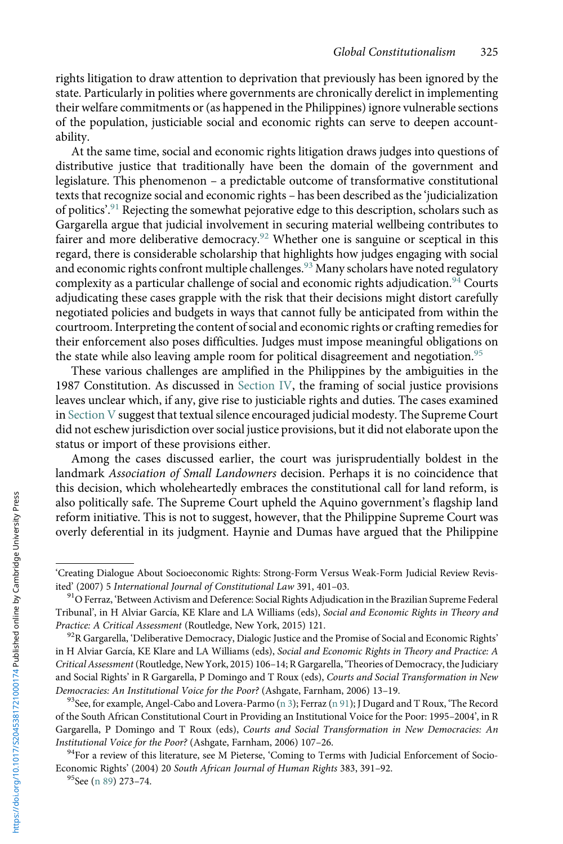<span id="page-18-0"></span>rights litigation to draw attention to deprivation that previously has been ignored by the state. Particularly in polities where governments are chronically derelict in implementing their welfare commitments or (as happened in the Philippines) ignore vulnerable sections of the population, justiciable social and economic rights can serve to deepen accountability.

At the same time, social and economic rights litigation draws judges into questions of distributive justice that traditionally have been the domain of the government and legislature. This phenomenon – a predictable outcome of transformative constitutional texts that recognize social and economic rights – has been described as the 'judicialization of politics'.<sup>91</sup> Rejecting the somewhat pejorative edge to this description, scholars such as Gargarella argue that judicial involvement in securing material wellbeing contributes to fairer and more deliberative democracy.<sup>92</sup> Whether one is sanguine or sceptical in this regard, there is considerable scholarship that highlights how judges engaging with social and economic rights confront multiple challenges.<sup>93</sup> Many scholars have noted regulatory complexity as a particular challenge of social and economic rights adjudication.<sup>94</sup> Courts adjudicating these cases grapple with the risk that their decisions might distort carefully negotiated policies and budgets in ways that cannot fully be anticipated from within the courtroom. Interpreting the content of social and economic rights or crafting remedies for their enforcement also poses difficulties. Judges must impose meaningful obligations on the state while also leaving ample room for political disagreement and negotiation.<sup>95</sup>

These various challenges are amplified in the Philippines by the ambiguities in the 1987 Constitution. As discussed in Section IV, the framing of social justice provisions leaves unclear which, if any, give rise to justiciable rights and duties. The cases examined in Section  $V$  suggest that textual silence encouraged judicial modesty. The Supreme Court did not eschew jurisdiction over social justice provisions, but it did not elaborate upon the status or import of these provisions either.

Among the cases discussed earlier, the court was jurisprudentially boldest in the landmark Association of Small Landowners decision. Perhaps it is no coincidence that this decision, which wholeheartedly embraces the constitutional call for land reform, is also politically safe. The Supreme Court upheld the Aquino government's flagship land reform initiative. This is not to suggest, however, that the Philippine Supreme Court was overly deferential in its judgment. Haynie and Dumas have argued that the Philippine

<sup>&#</sup>x27;Creating Dialogue About Socioeconomic Rights: Strong-Form Versus Weak-Form Judicial Review Revis-<br>ited' (2007) 5 International Journal of Constitutional Law 391, 401-03.

<sup>&</sup>lt;sup>91</sup>O Ferraz, 'Between Activism and Deference: Social Rights Adjudication in the Brazilian Supreme Federal Tribunal', in H Alviar García, KE Klare and LA Williams (eds), Social and Economic Rights in Theory and Practice: A Critical Assessment (Routledge, New York, 2015) 121.<br><sup>92</sup>R Gargarella, 'Deliberative Democracy, Dialogic Justice and the Promise of Social and Economic Rights'

in H Alviar García, KE Klare and LA Williams (eds), Social and Economic Rights in Theory and Practice: A Critical Assessment (Routledge, New York, 2015) 106–14; R Gargarella, 'Theories of Democracy, the Judiciary and Social Rights' in R Gargarella, P Domingo and T Roux (eds), Courts and Social Transformation in New

*Democracies: An Institutional Voice for the Poor?* (Ashgate, Farnham, 2006) 13–19. <sup>93</sup>See, for example, Angel-Cabo and Lovera-Parmo [\(n 3\)](#page-1-0); Ferraz (n 91); J Dugard and T Roux, 'The Record of the South African Constitutional Court in Providing an Institutional Voice for the Poor: 1995–2004', in R Gargarella, P Domingo and T Roux (eds), Courts and Social Transformation in New Democracies: An Institutional Voice for the Poor? (Ashgate, Farnham, 2006) 107–26.<br><sup>94</sup>For a review of this literature, see M Pieterse, 'Coming to Terms with Judicial Enforcement of Socio-

Economic Rights' (2004) 20 South African Journal of Human Rights 383, 391–92.<br><sup>95</sup>See [\(n 89](#page-17-0)) 273–74.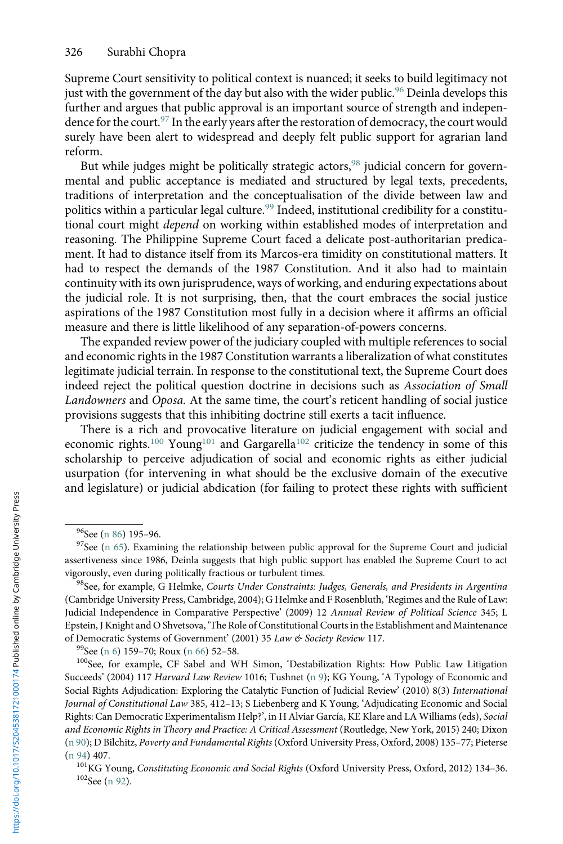<span id="page-19-0"></span>Supreme Court sensitivity to political context is nuanced; it seeks to build legitimacy not just with the government of the day but also with the wider public.<sup>96</sup> Deinla develops this further and argues that public approval is an important source of strength and independence for the court.<sup>97</sup> In the early years after the restoration of democracy, the court would surely have been alert to widespread and deeply felt public support for agrarian land reform.

But while judges might be politically strategic actors,<sup>98</sup> judicial concern for governmental and public acceptance is mediated and structured by legal texts, precedents, traditions of interpretation and the conceptualisation of the divide between law and politics within a particular legal culture.<sup>99</sup> Indeed, institutional credibility for a constitutional court might depend on working within established modes of interpretation and reasoning. The Philippine Supreme Court faced a delicate post-authoritarian predicament. It had to distance itself from its Marcos-era timidity on constitutional matters. It had to respect the demands of the 1987 Constitution. And it also had to maintain continuity with its own jurisprudence, ways of working, and enduring expectations about the judicial role. It is not surprising, then, that the court embraces the social justice aspirations of the 1987 Constitution most fully in a decision where it affirms an official measure and there is little likelihood of any separation-of-powers concerns.

The expanded review power of the judiciary coupled with multiple references to social and economic rights in the 1987 Constitution warrants a liberalization of what constitutes legitimate judicial terrain. In response to the constitutional text, the Supreme Court does indeed reject the political question doctrine in decisions such as Association of Small Landowners and Oposa. At the same time, the court's reticent handling of social justice provisions suggests that this inhibiting doctrine still exerts a tacit influence.

There is a rich and provocative literature on judicial engagement with social and economic rights.<sup>100</sup> Young<sup>101</sup> and Gargarella<sup>102</sup> criticize the tendency in some of this scholarship to perceive adjudication of social and economic rights as either judicial usurpation (for intervening in what should be the exclusive domain of the executive and legislature) or judicial abdication (for failing to protect these rights with sufficient

<sup>&</sup>lt;sup>96</sup>See [\(n 86\)](#page-16-0) 195–96.<br><sup>97</sup>See [\(n 65\)](#page-11-0). Examining the relationship between public approval for the Supreme Court and judicial assertiveness since 1986, Deinla suggests that high public support has enabled the Supreme Court to act vigorously, even during politically fractious or turbulent times.<br><sup>98</sup>See, for example, G Helmke, *Courts Under Constraints: Judges, Generals, and Presidents in Argentina* 

<sup>(</sup>Cambridge University Press, Cambridge, 2004); G Helmke and F Rosenbluth, 'Regimes and the Rule of Law: Judicial Independence in Comparative Perspective' (2009) 12 Annual Review of Political Science 345; L Epstein, J Knight and O Shvetsova, 'The Role of Constitutional Courts in the Establishment and Maintenance of Democratic Systems of Government' (2001) 35 Law & Society Review 117.<br><sup>99</sup>See [\(n 6\)](#page-2-0) 159–70; Roux [\(n 66](#page-11-0)) 52–58.<br><sup>100</sup>See, for example, CF Sabel and WH Simon, 'Destabilization Rights: How Public Law Litigation

Succeeds' (2004) 117 Harvard Law Review 1016; Tushnet [\(n 9\)](#page-3-0); KG Young, 'A Typology of Economic and Social Rights Adjudication: Exploring the Catalytic Function of Judicial Review' (2010) 8(3) International Journal of Constitutional Law 385, 412–13; S Liebenberg and K Young, 'Adjudicating Economic and Social Rights: Can Democratic Experimentalism Help?', in H Alviar García, KE Klare and LA Williams (eds), Social and Economic Rights in Theory and Practice: A Critical Assessment (Routledge, New York, 2015) 240; Dixon [\(n 90\)](#page-17-0); D Bilchitz, Poverty and Fundamental Rights (Oxford University Press, Oxford, 2008) 135–77; Pieterse

[<sup>\(</sup>n 94](#page-18-0)) 407. <sup>101</sup>KG Young, *Constituting Economic and Social Rights* (Oxford University Press, Oxford, 2012) 134–36. <sup>102</sup>See [\(n 92](#page-18-0)).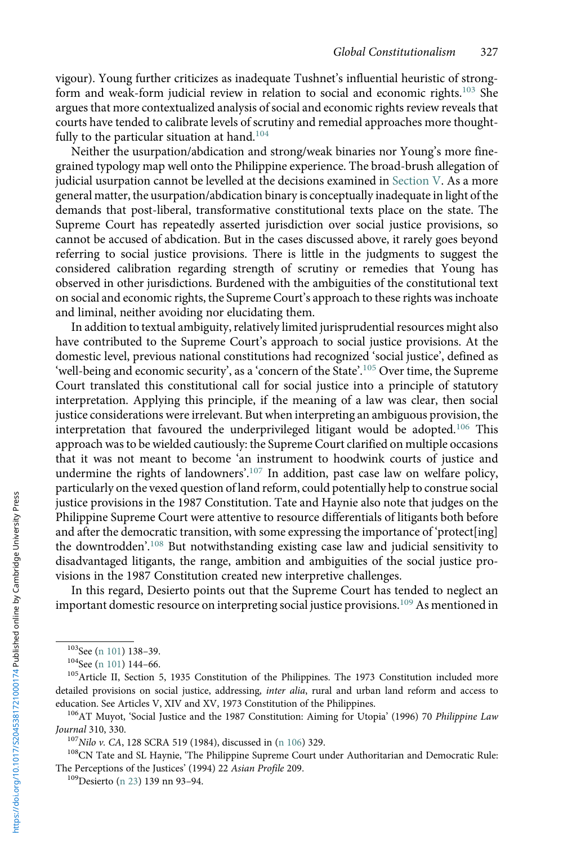vigour). Young further criticizes as inadequate Tushnet's influential heuristic of strongform and weak-form judicial review in relation to social and economic rights.<sup>103</sup> She argues that more contextualized analysis of social and economic rights review reveals that courts have tended to calibrate levels of scrutiny and remedial approaches more thoughtfully to the particular situation at hand.<sup>104</sup>

Neither the usurpation/abdication and strong/weak binaries nor Young's more finegrained typology map well onto the Philippine experience. The broad-brush allegation of judicial usurpation cannot be levelled at the decisions examined in Section V. As a more general matter, the usurpation/abdication binary is conceptually inadequate in light of the demands that post-liberal, transformative constitutional texts place on the state. The Supreme Court has repeatedly asserted jurisdiction over social justice provisions, so cannot be accused of abdication. But in the cases discussed above, it rarely goes beyond referring to social justice provisions. There is little in the judgments to suggest the considered calibration regarding strength of scrutiny or remedies that Young has observed in other jurisdictions. Burdened with the ambiguities of the constitutional text on social and economic rights, the Supreme Court's approach to these rights was inchoate and liminal, neither avoiding nor elucidating them.

In addition to textual ambiguity, relatively limited jurisprudential resources might also have contributed to the Supreme Court's approach to social justice provisions. At the domestic level, previous national constitutions had recognized 'social justice', defined as 'well-being and economic security', as a 'concern of the State'.<sup>105</sup> Over time, the Supreme Court translated this constitutional call for social justice into a principle of statutory interpretation. Applying this principle, if the meaning of a law was clear, then social justice considerations were irrelevant. But when interpreting an ambiguous provision, the interpretation that favoured the underprivileged litigant would be adopted.<sup>106</sup> This approach was to be wielded cautiously: the Supreme Court clarified on multiple occasions that it was not meant to become 'an instrument to hoodwink courts of justice and undermine the rights of landowners'. <sup>107</sup> In addition, past case law on welfare policy, particularly on the vexed question of land reform, could potentially help to construe social justice provisions in the 1987 Constitution. Tate and Haynie also note that judges on the Philippine Supreme Court were attentive to resource differentials of litigants both before and after the democratic transition, with some expressing the importance of 'protect[ing] the downtrodden'. <sup>108</sup> But notwithstanding existing case law and judicial sensitivity to disadvantaged litigants, the range, ambition and ambiguities of the social justice provisions in the 1987 Constitution created new interpretive challenges.

In this regard, Desierto points out that the Supreme Court has tended to neglect an important domestic resource on interpreting social justice provisions.<sup>109</sup> As mentioned in

<sup>&</sup>lt;sup>103</sup>See [\(n 101](#page-19-0)) 138–39.<br><sup>104</sup>See (n 101) 144–66.<br><sup>105</sup>Article II, Section 5, 1935 Constitution of the Philippines. The 1973 Constitution included more detailed provisions on social justice, addressing, inter alia, rural and urban land reform and access to

education. See Articles V, XIV and XV, 1973 Constitution of the Philippines.<br><sup>106</sup>AT Muyot, 'Social Justice and the 1987 Constitution: Aiming for Utopia' (1996) 70 *Philippine Law*<br>*Journal* 310, 330.

<sup>&</sup>lt;sup>107</sup>Nilo v. CA, 128 SCRA 519 (1984), discussed in (n 106) 329.<br><sup>108</sup>CN Tate and SL Haynie, 'The Philippine Supreme Court under Authoritarian and Democratic Rule: The Perceptions of the Justices' (1994) 22 Asian Profile 209. 109 Desierto ([n 23\)](#page-5-0) 139 nn 93–94.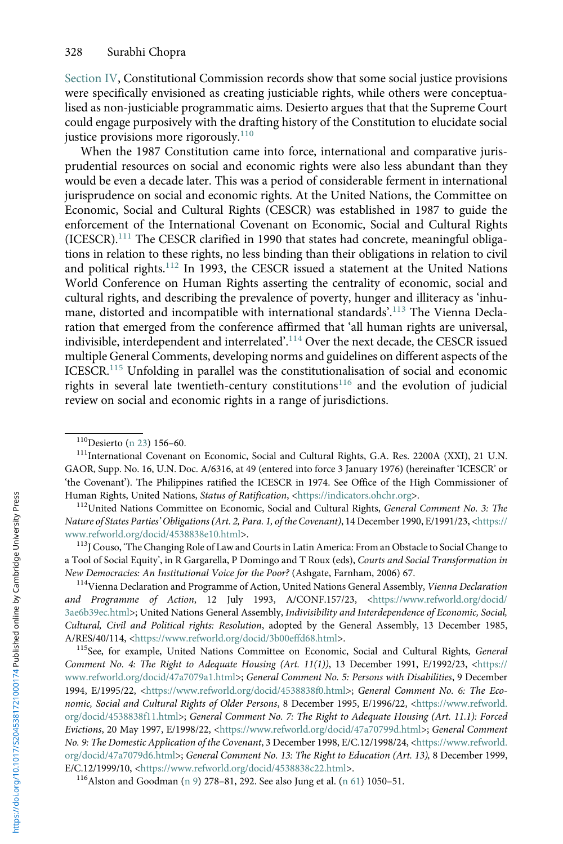Section IV, Constitutional Commission records show that some social justice provisions were specifically envisioned as creating justiciable rights, while others were conceptualised as non-justiciable programmatic aims. Desierto argues that that the Supreme Court could engage purposively with the drafting history of the Constitution to elucidate social justice provisions more rigorously.<sup>110</sup>

When the 1987 Constitution came into force, international and comparative jurisprudential resources on social and economic rights were also less abundant than they would be even a decade later. This was a period of considerable ferment in international jurisprudence on social and economic rights. At the United Nations, the Committee on Economic, Social and Cultural Rights (CESCR) was established in 1987 to guide the enforcement of the International Covenant on Economic, Social and Cultural Rights (ICESCR).<sup>111</sup> The CESCR clarified in 1990 that states had concrete, meaningful obligations in relation to these rights, no less binding than their obligations in relation to civil and political rights.<sup>112</sup> In 1993, the CESCR issued a statement at the United Nations World Conference on Human Rights asserting the centrality of economic, social and cultural rights, and describing the prevalence of poverty, hunger and illiteracy as 'inhumane, distorted and incompatible with international standards'. <sup>113</sup> The Vienna Declaration that emerged from the conference affirmed that 'all human rights are universal, indivisible, interdependent and interrelated'. $^{114}$  Over the next decade, the CESCR issued multiple General Comments, developing norms and guidelines on different aspects of the ICESCR.<sup>115</sup> Unfolding in parallel was the constitutionalisation of social and economic rights in several late twentieth-century constitutions<sup>116</sup> and the evolution of judicial review on social and economic rights in a range of jurisdictions.

<sup>&</sup>lt;sup>110</sup>Desierto ([n 23\)](#page-5-0) 156–60.<br><sup>111</sup>International Covenant on Economic, Social and Cultural Rights, G.A. Res. 2200A (XXI), 21 U.N. GAOR, Supp. No. 16, U.N. Doc. A/6316, at 49 (entered into force 3 January 1976) (hereinafter 'ICESCR' or 'the Covenant'). The Philippines ratified the ICESCR in 1974. See Office of the High Commissioner of<br>Human Rights, United Nations, *Status of Ratification*, <https://indicators.ohchr.org>.

<sup>&</sup>lt;sup>112</sup>United Nations Committee on Economic, Social and Cultural Rights, General Comment No. 3: The Nature of States Parties'Obligations (Art. 2, Para. 1, of the Covenant), 14 December 1990, E/1991/23, [<https://](https://www.refworld.org/docid/4538838e10.html) [www.refworld.org/docid/4538838e10.html](https://www.refworld.org/docid/4538838e10.html)>.<br><sup>113</sup>J Couso, 'The Changing Role of Law and Courts in Latin America: From an Obstacle to Social Change to

a Tool of Social Equity', in R Gargarella, P Domingo and T Roux (eds), Courts and Social Transformation in New Democracies: An Institutional Voice for the Poor? (Ashgate, Farnham, 2006) 67.<br><sup>114</sup>Vienna Declaration and Programme of Action, United Nations General Assembly, *Vienna Declaration* 

and Programme of Action, 12 July 1993, A/CONF.157/23, [<https://www.refworld.org/docid/](https://www.refworld.org/docid/3ae6b39ec.html) [3ae6b39ec.html](https://www.refworld.org/docid/3ae6b39ec.html)>; United Nations General Assembly, Indivisibility and Interdependence of Economic, Social, Cultural, Civil and Political rights: Resolution, adopted by the General Assembly, 13 December 1985, A/RES/40/114, [<https://www.refworld.org/docid/3b00effd68.html](https://www.refworld.org/docid/3b00effd68.html)>.<br><sup>115</sup>See, for example, United Nations Committee on Economic, Social and Cultural Rights, *General* 

Comment No. 4: The Right to Adequate Housing (Art. 11(1)), 13 December 1991, E/1992/23, [<https://](https://www.refworld.org/docid/47a7079a1.html) [www.refworld.org/docid/47a7079a1.html](https://www.refworld.org/docid/47a7079a1.html)>; General Comment No. 5: Persons with Disabilities, 9 December 1994, E/1995/22, <[https://www.refworld.org/docid/4538838f0.html>](https://www.refworld.org/docid/4538838f0.html); General Comment No. 6: The Economic, Social and Cultural Rights of Older Persons, 8 December 1995, E/1996/22, <[https://www.refworld.](https://www.refworld.org/docid/4538838f11.html) [org/docid/4538838f11.html>](https://www.refworld.org/docid/4538838f11.html); General Comment No. 7: The Right to Adequate Housing (Art. 11.1): Forced Evictions, 20 May 1997, E/1998/22, <<https://www.refworld.org/docid/47a70799d.html>>; General Comment No. 9: The Domestic Application of the Covenant, 3 December 1998, E/C.12/1998/24, <[https://www.refworld.](https://www.refworld.org/docid/47a7079d6.html) [org/docid/47a7079d6.html](https://www.refworld.org/docid/47a7079d6.html)>; General Comment No. 13: The Right to Education (Art. 13), 8 December 1999, E/C.12/1999/10, [<https://www.refworld.org/docid/4538838c22.html](https://www.refworld.org/docid/4538838c22.html)>. <sup>116</sup>Alston and Goodman [\(n 9](#page-3-0)) 278–81, 292. See also Jung et al. ([n 61](#page-9-0)) 1050–51.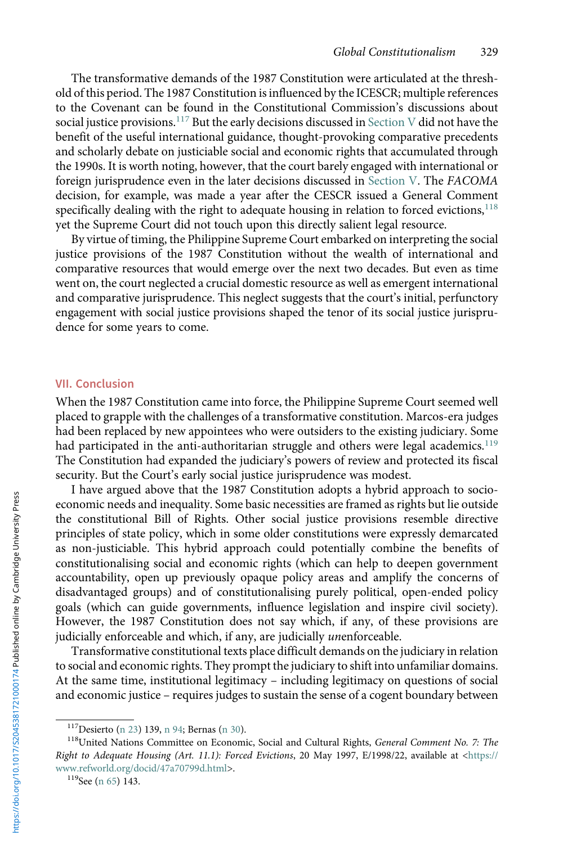The transformative demands of the 1987 Constitution were articulated at the threshold of this period. The 1987 Constitution is influenced by the ICESCR; multiple references to the Covenant can be found in the Constitutional Commission's discussions about social justice provisions.<sup>117</sup> But the early decisions discussed in Section V did not have the benefit of the useful international guidance, thought-provoking comparative precedents and scholarly debate on justiciable social and economic rights that accumulated through the 1990s. It is worth noting, however, that the court barely engaged with international or foreign jurisprudence even in the later decisions discussed in Section V. The FACOMA decision, for example, was made a year after the CESCR issued a General Comment specifically dealing with the right to adequate housing in relation to forced evictions, $118$ yet the Supreme Court did not touch upon this directly salient legal resource.

By virtue of timing, the Philippine Supreme Court embarked on interpreting the social justice provisions of the 1987 Constitution without the wealth of international and comparative resources that would emerge over the next two decades. But even as time went on, the court neglected a crucial domestic resource as well as emergent international and comparative jurisprudence. This neglect suggests that the court's initial, perfunctory engagement with social justice provisions shaped the tenor of its social justice jurisprudence for some years to come.

#### VII. Conclusion

When the 1987 Constitution came into force, the Philippine Supreme Court seemed well placed to grapple with the challenges of a transformative constitution. Marcos-era judges had been replaced by new appointees who were outsiders to the existing judiciary. Some had participated in the anti-authoritarian struggle and others were legal academics.<sup>119</sup> The Constitution had expanded the judiciary's powers of review and protected its fiscal security. But the Court's early social justice jurisprudence was modest.

I have argued above that the 1987 Constitution adopts a hybrid approach to socioeconomic needs and inequality. Some basic necessities are framed as rights but lie outside the constitutional Bill of Rights. Other social justice provisions resemble directive principles of state policy, which in some older constitutions were expressly demarcated as non-justiciable. This hybrid approach could potentially combine the benefits of constitutionalising social and economic rights (which can help to deepen government accountability, open up previously opaque policy areas and amplify the concerns of disadvantaged groups) and of constitutionalising purely political, open-ended policy goals (which can guide governments, influence legislation and inspire civil society). However, the 1987 Constitution does not say which, if any, of these provisions are judicially enforceable and which, if any, are judicially unenforceable.

Transformative constitutional texts place difficult demands on the judiciary in relation to social and economic rights. They prompt the judiciary to shift into unfamiliar domains. At the same time, institutional legitimacy – including legitimacy on questions of social and economic justice – requires judges to sustain the sense of a cogent boundary between

<sup>&</sup>lt;sup>117</sup>Desierto ([n 23\)](#page-5-0) 139, [n 94;](#page-18-0) Bernas ([n 30](#page-6-0)).<br><sup>118</sup>United Nations Committee on Economic, Social and Cultural Rights, *General Comment No. 7: The* Right to Adequate Housing (Art. 11.1): Forced Evictions, 20 May 1997, E/1998/22, available at [<https://](https://www.refworld.org/docid/47a70799d.html) [www.refworld.org/docid/47a70799d.html>](https://www.refworld.org/docid/47a70799d.html).<br><sup>119</sup>See [\(n 65](#page-11-0)) 143.